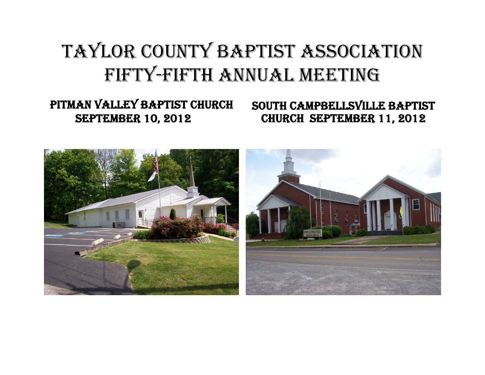# TAYLOR COUNTY BAPTIST ASSOCIATION FIFTY-FIFTH ANNUAL MEETING

# PITMAN VALLEY BAPTIST CHURCH SEPTEMBER 10, 2012

SOUTH CAMPBELLSVILLE BAPTIST CHURCH SEPTEMBER 11, 2012

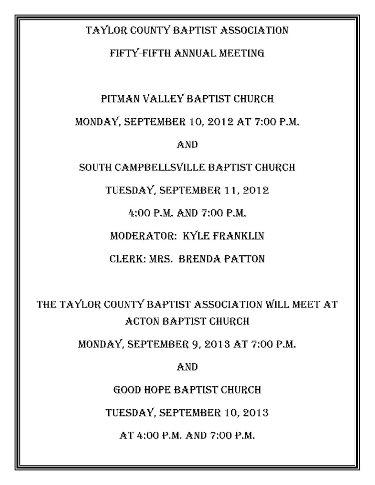## TAYLOR COUNTY BAPTIST ASSOCIATION

## FIFTY-FIFTH ANNUAL MEETING

# PITMAN VALLEY BAPTIST CHURCH MONDAY, SEPTEMBER 10, 2012 AT 7:00 P.M. AND

SOUTH CAMPBELLSVILLE BAPTIST CHURCH

TUESDAY, SEPTEMBER 11, 2012

4:00 P.M. AND 7:00 P.M.

MODERATOR: KYLE FRANKLIN

CLERK: MRS. BRENDA PATTON

THE TAYLOR COUNTY BAPTIST ASSOCIATION WILL MEET AT ACTON BAPTIST CHURCH

MONDAY, SEPTEMBER 9, 2013 AT 7:00 P.M.

AND

GOOD HOPE BAPTIST CHURCH

TUESDAY, SEPTEMBER 10, 2013

AT 4:00 P.M. AND 7:00 P.M.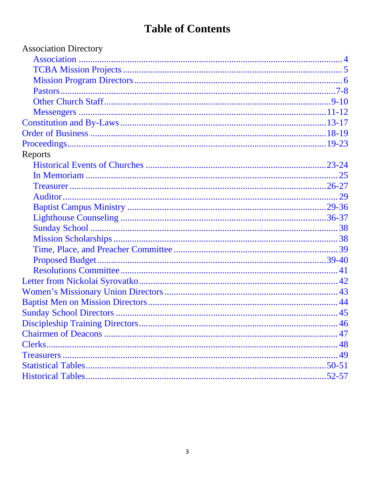# **Table of Contents**

| <b>Association Directory</b> |  |
|------------------------------|--|
|                              |  |
|                              |  |
|                              |  |
|                              |  |
|                              |  |
|                              |  |
|                              |  |
|                              |  |
|                              |  |
| Reports                      |  |
|                              |  |
|                              |  |
|                              |  |
|                              |  |
|                              |  |
|                              |  |
|                              |  |
|                              |  |
|                              |  |
|                              |  |
|                              |  |
|                              |  |
|                              |  |
|                              |  |
|                              |  |
|                              |  |
|                              |  |
|                              |  |
|                              |  |
|                              |  |
|                              |  |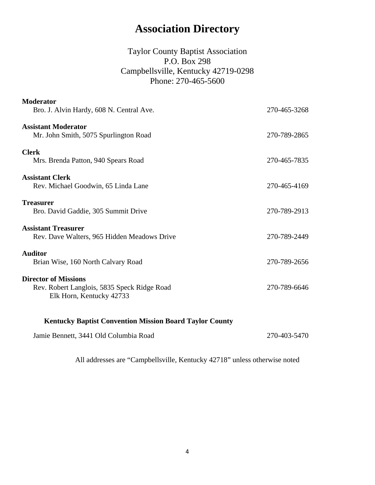## **Association Directory**

## Taylor County Baptist Association P.O. Box 298 Campbellsville, Kentucky 42719-0298 Phone: 270-465-5600

<span id="page-3-0"></span>

| <b>Moderator</b>                                    |              |
|-----------------------------------------------------|--------------|
| Bro. J. Alvin Hardy, 608 N. Central Ave.            | 270-465-3268 |
| <b>Assistant Moderator</b>                          |              |
| Mr. John Smith, 5075 Spurlington Road               | 270-789-2865 |
|                                                     |              |
| <b>Clerk</b><br>Mrs. Brenda Patton, 940 Spears Road | 270-465-7835 |
|                                                     |              |
| <b>Assistant Clerk</b>                              |              |
| Rev. Michael Goodwin, 65 Linda Lane                 | 270-465-4169 |
| <b>Treasurer</b>                                    |              |
| Bro. David Gaddie, 305 Summit Drive                 | 270-789-2913 |
| <b>Assistant Treasurer</b>                          |              |
| Rev. Dave Walters, 965 Hidden Meadows Drive         | 270-789-2449 |
|                                                     |              |
| <b>Auditor</b>                                      |              |
| Brian Wise, 160 North Calvary Road                  | 270-789-2656 |
| <b>Director of Missions</b>                         |              |
| Rev. Robert Langlois, 5835 Speck Ridge Road         | 270-789-6646 |
| Elk Horn, Kentucky 42733                            |              |
|                                                     |              |
|                                                     |              |

 **Kentucky Baptist Convention Mission Board Taylor County** 

Jamie Bennett, 3441 Old Columbia Road 270-403-5470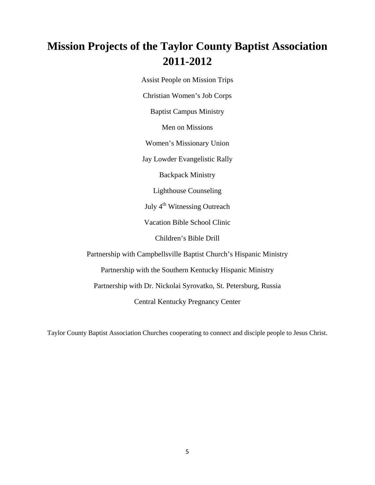## <span id="page-4-0"></span>**Mission Projects of the Taylor County Baptist Association 2011-2012**

Assist People on Mission Trips

Christian Women's Job Corps

Baptist Campus Ministry

Men on Missions

Women's Missionary Union

Jay Lowder Evangelistic Rally

Backpack Ministry

Lighthouse Counseling

July 4<sup>th</sup> Witnessing Outreach

Vacation Bible School Clinic

Children's Bible Drill

Partnership with Campbellsville Baptist Church's Hispanic Ministry

Partnership with the Southern Kentucky Hispanic Ministry

Partnership with Dr. Nickolai Syrovatko, St. Petersburg, Russia

Central Kentucky Pregnancy Center

Taylor County Baptist Association Churches cooperating to connect and disciple people to Jesus Christ.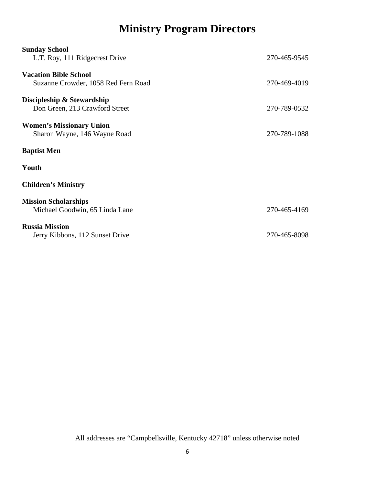# **Ministry Program Directors**

<span id="page-5-0"></span>

| <b>Sunday School</b><br>L.T. Roy, 111 Ridgecrest Drive              | 270-465-9545 |
|---------------------------------------------------------------------|--------------|
| <b>Vacation Bible School</b><br>Suzanne Crowder, 1058 Red Fern Road | 270-469-4019 |
| Discipleship & Stewardship<br>Don Green, 213 Crawford Street        | 270-789-0532 |
| <b>Women's Missionary Union</b><br>Sharon Wayne, 146 Wayne Road     | 270-789-1088 |
| <b>Baptist Men</b>                                                  |              |
| Youth                                                               |              |
| <b>Children's Ministry</b>                                          |              |
| <b>Mission Scholarships</b><br>Michael Goodwin, 65 Linda Lane       | 270-465-4169 |
| <b>Russia Mission</b><br>Jerry Kibbons, 112 Sunset Drive            | 270-465-8098 |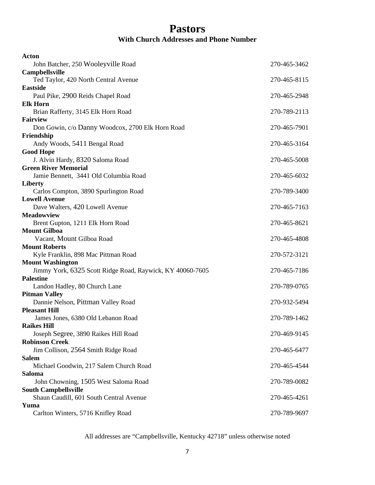## **Pastors With Church Addresses and Phone Number**

<span id="page-6-0"></span>

| Acton                                                     |              |
|-----------------------------------------------------------|--------------|
| John Batcher, 250 Wooleyville Road                        | 270-465-3462 |
| Campbellsville                                            |              |
| Ted Taylor, 420 North Central Avenue                      | 270-465-8115 |
| <b>Eastside</b>                                           |              |
| Paul Pike, 2900 Reids Chapel Road                         | 270-465-2948 |
| <b>Elk Horn</b>                                           |              |
| Brian Rafferty, 3145 Elk Horn Road                        | 270-789-2113 |
| <b>Fairview</b>                                           |              |
| Don Gowin, c/o Danny Woodcox, 2700 Elk Horn Road          | 270-465-7901 |
| Friendship                                                |              |
| Andy Woods, 5411 Bengal Road                              | 270-465-3164 |
| <b>Good Hope</b>                                          |              |
| J. Alvin Hardy, 8320 Saloma Road                          | 270-465-5008 |
| <b>Green River Memorial</b>                               |              |
| Jamie Bennett, 3441 Old Columbia Road                     | 270-465-6032 |
| Liberty                                                   |              |
| Carlos Compton, 3890 Spurlington Road                     | 270-789-3400 |
| <b>Lowell Avenue</b>                                      |              |
| Dave Walters, 420 Lowell Avenue                           | 270-465-7163 |
| <b>Meadowview</b>                                         |              |
| Brent Gupton, 1211 Elk Horn Road                          | 270-465-8621 |
| <b>Mount Gilboa</b>                                       |              |
| Vacant, Mount Gilboa Road                                 | 270-465-4808 |
| <b>Mount Roberts</b>                                      |              |
| Kyle Franklin, 898 Mac Pittman Road                       | 270-572-3121 |
| <b>Mount Washington</b>                                   |              |
| Jimmy York, 6325 Scott Ridge Road, Raywick, KY 40060-7605 | 270-465-7186 |
| <b>Palestine</b>                                          |              |
| Landon Hadley, 80 Church Lane                             | 270-789-0765 |
| <b>Pitman Valley</b>                                      |              |
| Dannie Nelson, Pittman Valley Road                        | 270-932-5494 |
| <b>Pleasant Hill</b>                                      |              |
| James Jones, 6380 Old Lebanon Road                        | 270-789-1462 |
| <b>Raikes Hill</b>                                        |              |
| Joseph Segree, 3890 Raikes Hill Road                      | 270-469-9145 |
| <b>Robinson Creek</b>                                     |              |
| Jim Collison, 2564 Smith Ridge Road                       | 270-465-6477 |
| <b>Salem</b>                                              |              |
| Michael Goodwin, 217 Salem Church Road                    | 270-465-4544 |
| <b>Saloma</b>                                             |              |
| John Chowning, 1505 West Saloma Road                      | 270-789-0082 |
| <b>South Campbellsville</b>                               |              |
| Shaun Caudill, 601 South Central Avenue                   | 270-465-4261 |
| Yuma                                                      |              |
| Carlton Winters, 5716 Knifley Road                        | 270-789-9697 |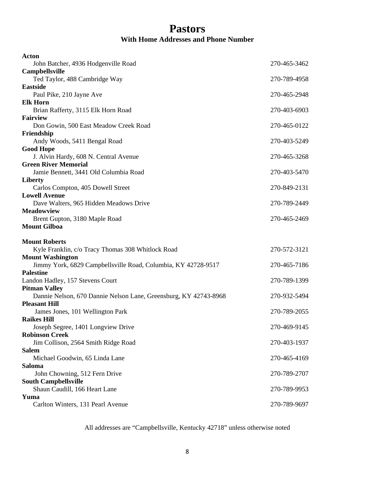## **Pastors With Home Addresses and Phone Number**

| <b>Acton</b>                                                     |              |
|------------------------------------------------------------------|--------------|
| John Batcher, 4936 Hodgenville Road                              | 270-465-3462 |
| <b>Campbellsville</b>                                            |              |
| Ted Taylor, 488 Cambridge Way                                    | 270-789-4958 |
| <b>Eastside</b>                                                  |              |
| Paul Pike, 210 Jayne Ave                                         | 270-465-2948 |
| <b>Elk Horn</b>                                                  |              |
| Brian Rafferty, 3115 Elk Horn Road<br><b>Fairview</b>            | 270-403-6903 |
| Don Gowin, 500 East Meadow Creek Road                            | 270-465-0122 |
| Friendship                                                       |              |
| Andy Woods, 5411 Bengal Road                                     | 270-403-5249 |
| <b>Good Hope</b>                                                 |              |
| J. Alvin Hardy, 608 N. Central Avenue                            | 270-465-3268 |
| <b>Green River Memorial</b>                                      |              |
| Jamie Bennett, 3441 Old Columbia Road                            | 270-403-5470 |
| Liberty                                                          |              |
| Carlos Compton, 405 Dowell Street                                | 270-849-2131 |
| <b>Lowell Avenue</b>                                             |              |
| Dave Walters, 965 Hidden Meadows Drive                           | 270-789-2449 |
| <b>Meadowview</b>                                                |              |
| Brent Gupton, 3180 Maple Road                                    | 270-465-2469 |
| <b>Mount Gilboa</b>                                              |              |
| <b>Mount Roberts</b>                                             |              |
| Kyle Franklin, c/o Tracy Thomas 308 Whitlock Road                | 270-572-3121 |
| <b>Mount Washington</b>                                          |              |
| Jimmy York, 6829 Campbellsville Road, Columbia, KY 42728-9517    | 270-465-7186 |
| <b>Palestine</b>                                                 |              |
| Landon Hadley, 157 Stevens Court                                 | 270-789-1399 |
| <b>Pitman Valley</b>                                             |              |
| Dannie Nelson, 670 Dannie Nelson Lane, Greensburg, KY 42743-8968 | 270-932-5494 |
| <b>Pleasant Hill</b>                                             |              |
| James Jones, 101 Wellington Park                                 | 270-789-2055 |
| <b>Raikes Hill</b>                                               |              |
| Joseph Segree, 1401 Longview Drive                               | 270-469-9145 |
| <b>Robinson Creek</b>                                            |              |
| Jim Collison, 2564 Smith Ridge Road                              | 270-403-1937 |
| <b>Salem</b><br>Michael Goodwin, 65 Linda Lane                   | 270-465-4169 |
| <b>Saloma</b>                                                    |              |
| John Chowning, 512 Fern Drive                                    | 270-789-2707 |
| <b>South Campbellsville</b>                                      |              |
| Shaun Caudill, 166 Heart Lane                                    | 270-789-9953 |
|                                                                  |              |
| Yuma                                                             |              |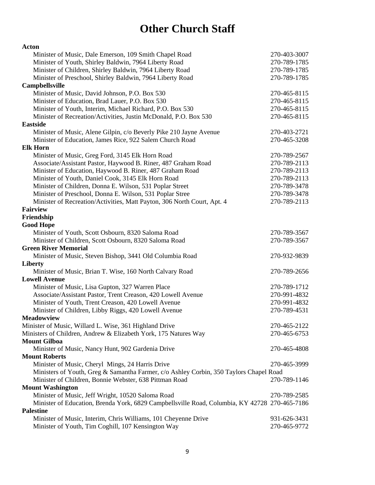# **Other Church Staff**

<span id="page-8-0"></span>

| <b>Acton</b>                                                                                  |              |
|-----------------------------------------------------------------------------------------------|--------------|
| Minister of Music, Dale Emerson, 109 Smith Chapel Road                                        | 270-403-3007 |
| Minister of Youth, Shirley Baldwin, 7964 Liberty Road                                         | 270-789-1785 |
| Minister of Children, Shirley Baldwin, 7964 Liberty Road                                      | 270-789-1785 |
| Minister of Preschool, Shirley Baldwin, 7964 Liberty Road                                     | 270-789-1785 |
| Campbellsville                                                                                |              |
| Minister of Music, David Johnson, P.O. Box 530                                                | 270-465-8115 |
| Minister of Education, Brad Lauer, P.O. Box 530                                               | 270-465-8115 |
| Minister of Youth, Interim, Michael Richard, P.O. Box 530                                     | 270-465-8115 |
| Minister of Recreation/Activities, Justin McDonald, P.O. Box 530                              | 270-465-8115 |
| <b>Eastside</b>                                                                               |              |
| Minister of Music, Alene Gilpin, c/o Beverly Pike 210 Jayne Avenue                            | 270-403-2721 |
| Minister of Education, James Rice, 922 Salem Church Road                                      | 270-465-3208 |
| <b>Elk Horn</b>                                                                               |              |
| Minister of Music, Greg Ford, 3145 Elk Horn Road                                              | 270-789-2567 |
| Associate/Assistant Pastor, Haywood B. Riner, 487 Graham Road                                 | 270-789-2113 |
| Minister of Education, Haywood B. Riner, 487 Graham Road                                      | 270-789-2113 |
| Minister of Youth, Daniel Cook, 3145 Elk Horn Road                                            | 270-789-2113 |
| Minister of Children, Donna E. Wilson, 531 Poplar Street                                      | 270-789-3478 |
| Minister of Preschool, Donna E. Wilson, 531 Poplar Stree                                      | 270-789-3478 |
| Minister of Recreation/Activities, Matt Payton, 306 North Court, Apt. 4                       | 270-789-2113 |
| <b>Fairview</b>                                                                               |              |
| Friendship                                                                                    |              |
| <b>Good Hope</b>                                                                              |              |
| Minister of Youth, Scott Osbourn, 8320 Saloma Road                                            | 270-789-3567 |
| Minister of Children, Scott Osbourn, 8320 Saloma Road                                         | 270-789-3567 |
| <b>Green River Memorial</b>                                                                   |              |
| Minister of Music, Steven Bishop, 3441 Old Columbia Road                                      | 270-932-9839 |
| Liberty                                                                                       |              |
| Minister of Music, Brian T. Wise, 160 North Calvary Road                                      | 270-789-2656 |
| <b>Lowell Avenue</b>                                                                          |              |
| Minister of Music, Lisa Gupton, 327 Warren Place                                              | 270-789-1712 |
| Associate/Assistant Pastor, Trent Creason, 420 Lowell Avenue                                  | 270-991-4832 |
| Minister of Youth, Trent Creason, 420 Lowell Avenue                                           | 270-991-4832 |
| Minister of Children, Libby Riggs, 420 Lowell Avenue                                          | 270-789-4531 |
| <b>Meadowview</b>                                                                             |              |
| Minister of Music, Willard L. Wise, 361 Highland Drive                                        | 270-465-2122 |
| Ministers of Children, Andrew & Elizabeth York, 175 Natures Way                               | 270-465-6753 |
| <b>Mount Gilboa</b>                                                                           |              |
| Minister of Music, Nancy Hunt, 902 Gardenia Drive                                             | 270-465-4808 |
| <b>Mount Roberts</b>                                                                          |              |
| Minister of Music, Cheryl Mings, 24 Harris Drive                                              | 270-465-3999 |
| Ministers of Youth, Greg & Samantha Farmer, c/o Ashley Corbin, 350 Taylors Chapel Road        |              |
| Minister of Children, Bonnie Webster, 638 Pittman Road                                        | 270-789-1146 |
| <b>Mount Washington</b>                                                                       |              |
| Minister of Music, Jeff Wright, 10520 Saloma Road                                             | 270-789-2585 |
| Minister of Education, Brenda York, 6829 Campbellsville Road, Columbia, KY 42728 270-465-7186 |              |
| <b>Palestine</b>                                                                              |              |
| Minister of Music, Interim, Chris Williams, 101 Cheyenne Drive                                | 931-626-3431 |
| Minister of Youth, Tim Coghill, 107 Kensington Way                                            | 270-465-9772 |
|                                                                                               |              |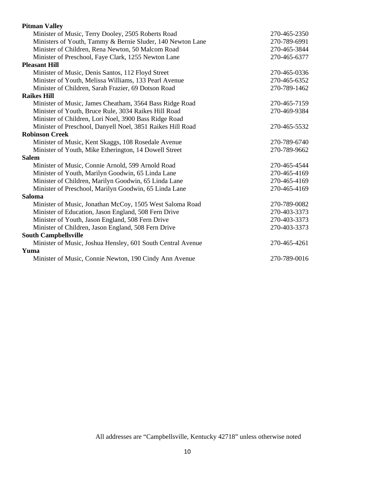| <b>Pitman Valley</b>                                        |              |
|-------------------------------------------------------------|--------------|
| Minister of Music, Terry Dooley, 2505 Roberts Road          | 270-465-2350 |
| Ministers of Youth, Tammy & Bernie Sluder, 140 Newton Lane  | 270-789-6991 |
| Minister of Children, Rena Newton, 50 Malcom Road           | 270-465-3844 |
| Minister of Preschool, Faye Clark, 1255 Newton Lane         | 270-465-6377 |
| <b>Pleasant Hill</b>                                        |              |
| Minister of Music, Denis Santos, 112 Floyd Street           | 270-465-0336 |
| Minister of Youth, Melissa Williams, 133 Pearl Avenue       | 270-465-6352 |
| Minister of Children, Sarah Frazier, 69 Dotson Road         | 270-789-1462 |
| <b>Raikes Hill</b>                                          |              |
| Minister of Music, James Cheatham, 3564 Bass Ridge Road     | 270-465-7159 |
| Minister of Youth, Bruce Rule, 3034 Raikes Hill Road        | 270-469-9384 |
| Minister of Children, Lori Noel, 3900 Bass Ridge Road       |              |
| Minister of Preschool, Danyell Noel, 3851 Raikes Hill Road  | 270-465-5532 |
| <b>Robinson Creek</b>                                       |              |
| Minister of Music, Kent Skaggs, 108 Rosedale Avenue         | 270-789-6740 |
| Minister of Youth, Mike Etherington, 14 Dowell Street       | 270-789-9662 |
| <b>Salem</b>                                                |              |
| Minister of Music, Connie Arnold, 599 Arnold Road           | 270-465-4544 |
| Minister of Youth, Marilyn Goodwin, 65 Linda Lane           | 270-465-4169 |
| Minister of Children, Marilyn Goodwin, 65 Linda Lane        | 270-465-4169 |
| Minister of Preschool, Marilyn Goodwin, 65 Linda Lane       | 270-465-4169 |
| Saloma                                                      |              |
| Minister of Music, Jonathan McCoy, 1505 West Saloma Road    | 270-789-0082 |
| Minister of Education, Jason England, 508 Fern Drive        | 270-403-3373 |
| Minister of Youth, Jason England, 508 Fern Drive            | 270-403-3373 |
| Minister of Children, Jason England, 508 Fern Drive         | 270-403-3373 |
| <b>South Campbellsville</b>                                 |              |
| Minister of Music, Joshua Hensley, 601 South Central Avenue | 270-465-4261 |
| Yuma                                                        |              |
| Minister of Music, Connie Newton, 190 Cindy Ann Avenue      | 270-789-0016 |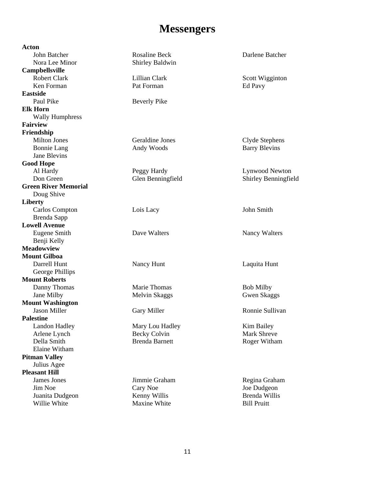## **Messengers**

<span id="page-10-0"></span>**Acton**  John Batcher Rosaline Beck Darlene Batcher Nora Lee Minor Shirley Baldwin **Campbellsville**  Robert Clark Lillian Clark Lillian Clark Scott Wigginton Ken Forman Pat Forman Pat Forman Ed Pavy **Eastside**  Paul Pike Beverly Pike **Elk Horn**  Wally Humphress **Fairview Friendship**  Milton Jones Geraldine Jones Clyde Stephens Bonnie Lang Andy Woods Barry Blevins Jane Blevins **Good Hope**  Al Hardy Peggy Hardy Lynwood Newton Don Green Glen Benningfield Shirley Benningfield **Green River Memorial**  Doug Shive **Liberty**  Carlos Compton Lois Lacy John Smith Brenda Sapp **Lowell Avenue**  Eugene Smith Dave Walters Nancy Walters Nancy Walters Benii Kelly **Meadowview Mount Gilboa**  Darrell Hunt Nancy Hunt Nancy Hunt Laquita Hunt George Phillips **Mount Roberts**  Danny Thomas Marie Thomas Bob Milby Jane Milby Melvin Skaggs Gwen Skaggs Gwen Skaggs Gwen Skaggs Gwen Skaggs Gwen Skaggs Gwen Skaggs Gwen Skaggs Gwen Skaggs Gwen Skaggs Gwen Skaggs Gwen Skaggs Gwen Skaggs Gwen Skaggs Gwen Skaggs Gwen Skaggs Gwen Skaggs Gwen **Mount Washington**  Jason Miller Gary Miller Ronnie Sullivan **Palestine**  Landon Hadley **Mary Lou Hadley** Kim Bailey Arlene Lynch Becky Colvin Mark Shreve Della Smith Brenda Barnett Roger Witham Elaine Witham **Pitman Valley**  Julius Agee **Pleasant Hill**  James Jones **Jimmie Graham Regina Graham** Regina Graham Jim Noe Cary Noe Joe Dudgeon Juanita Dudgeon Kenny Willis Brenda Willis Willie White **Maxine White** Bill Pruitt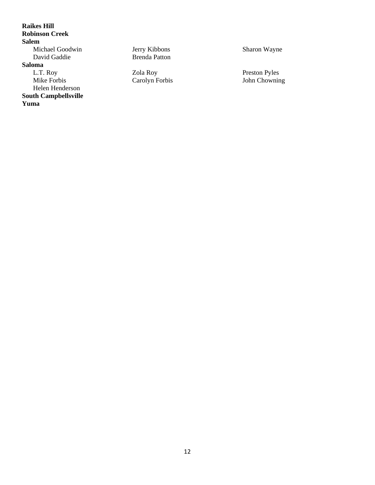**Raikes Hill Robinson Creek Salem**  Michael Goodwin Jerry Kibbons Sharon Wayne David Gaddie Brenda Patton **Saloma**  L.T. Roy 20la Roy Preston Pyles<br>
Mike Forbis Carolyn Forbis 30 John Chownir Mike Forbis Carolyn Forbis John Chowning Helen Henderson **South Campbellsville Yuma**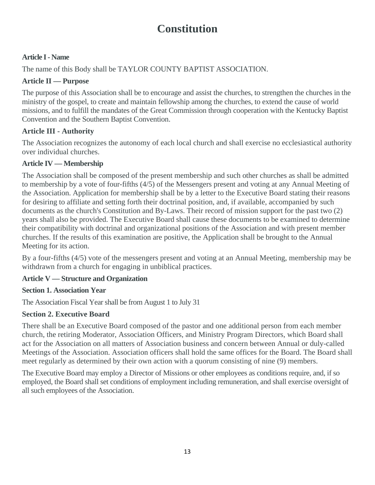# **Constitution**

## <span id="page-12-0"></span>**Article I - Name**

The name of this Body shall be TAYLOR COUNTY BAPTIST ASSOCIATION.

## **Article II — Purpose**

The purpose of this Association shall be to encourage and assist the churches, to strengthen the churches in the ministry of the gospel, to create and maintain fellowship among the churches, to extend the cause of world missions, and to fulfill the mandates of the Great Commission through cooperation with the Kentucky Baptist Convention and the Southern Baptist Convention.

## **Article III - Authority**

The Association recognizes the autonomy of each local church and shall exercise no ecclesiastical authority over individual churches.

## **Article IV — Membership**

The Association shall be composed of the present membership and such other churches as shall be admitted to membership by a vote of four-fifths (4/5) of the Messengers present and voting at any Annual Meeting of the Association. Application for membership shall be by a letter to the Executive Board stating their reasons for desiring to affiliate and setting forth their doctrinal position, and, if available, accompanied by such documents as the church's Constitution and By-Laws. Their record of mission support for the past two (2) years shall also be provided. The Executive Board shall cause these documents to be examined to determine their compatibility with doctrinal and organizational positions of the Association and with present member churches. If the results of this examination are positive, the Application shall be brought to the Annual Meeting for its action.

By a four-fifths (4/5) vote of the messengers present and voting at an Annual Meeting, membership may be withdrawn from a church for engaging in unbiblical practices.

## **Article V — Structure and Organization**

## **Section 1. Association Year**

The Association Fiscal Year shall be from August 1 to July 31

## **Section 2. Executive Board**

There shall be an Executive Board composed of the pastor and one additional person from each member church, the retiring Moderator, Association Officers, and Ministry Program Directors, which Board shall act for the Association on all matters of Association business and concern between Annual or duly-called Meetings of the Association. Association officers shall hold the same offices for the Board. The Board shall meet regularly as determined by their own action with a quorum consisting of nine (9) members.

The Executive Board may employ a Director of Missions or other employees as conditions require, and, if so employed, the Board shall set conditions of employment including remuneration, and shall exercise oversight of all such employees of the Association.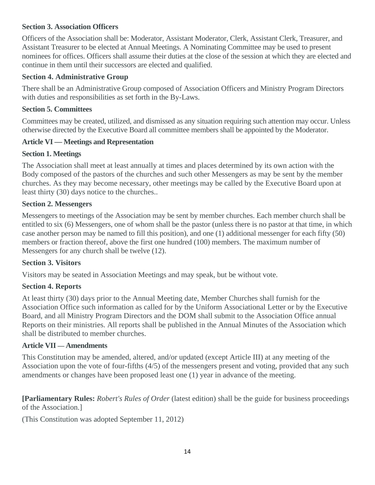## **Section 3. Association Officers**

Officers of the Association shall be: Moderator, Assistant Moderator, Clerk, Assistant Clerk, Treasurer, and Assistant Treasurer to be elected at Annual Meetings. A Nominating Committee may be used to present nominees for offices. Officers shall assume their duties at the close of the session at which they are elected and continue in them until their successors are elected and qualified.

### **Section 4. Administrative Group**

There shall be an Administrative Group composed of Association Officers and Ministry Program Directors with duties and responsibilities as set forth in the By-Laws.

### **Section 5. Committees**

Committees may be created, utilized, and dismissed as any situation requiring such attention may occur. Unless otherwise directed by the Executive Board all committee members shall be appointed by the Moderator.

### **Article VI — Meetings and Representation**

### **Section 1. Meetings**

The Association shall meet at least annually at times and places determined by its own action with the Body composed of the pastors of the churches and such other Messengers as may be sent by the member churches. As they may become necessary, other meetings may be called by the Executive Board upon at least thirty (30) days notice to the churches..

### **Section 2. Messengers**

Messengers to meetings of the Association may be sent by member churches. Each member church shall be entitled to six (6) Messengers, one of whom shall be the pastor (unless there is no pastor at that time, in which case another person may be named to fill this position), and one (1) additional messenger for each fifty (50) members or fraction thereof, above the first one hundred (100) members. The maximum number of Messengers for any church shall be twelve (12).

### **Section 3. Visitors**

Visitors may be seated in Association Meetings and may speak, but be without vote.

### **Section 4. Reports**

At least thirty (30) days prior to the Annual Meeting date, Member Churches shall furnish for the Association Office such information as called for by the Uniform Associational Letter or by the Executive Board, and all Ministry Program Directors and the DOM shall submit to the Association Office annual Reports on their ministries. All reports shall be published in the Annual Minutes of the Association which shall be distributed to member churches.

### **Article VII — Amendments**

This Constitution may be amended, altered, and/or updated (except Article III) at any meeting of the Association upon the vote of four-fifths (4/5) of the messengers present and voting, provided that any such amendments or changes have been proposed least one (1) year in advance of the meeting.

**[Parliamentary Rules:** *Robert's Rules of Order* (latest edition) shall be the guide for business proceedings of the Association.]

(This Constitution was adopted September 11, 2012)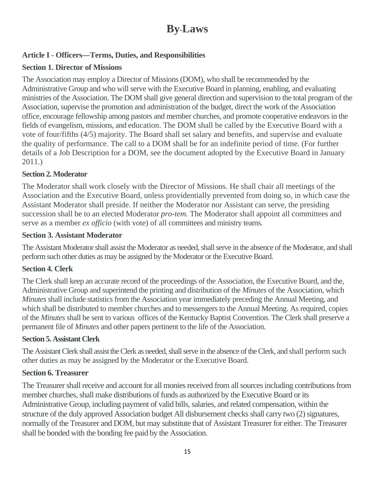## **By-Laws**

## **Article I - Officers—Terms, Duties, and Responsibilities**

## **Section 1. Director of Missions**

The Association may employ a Director of Missions (DOM), who shall be recommended by the Administrative Group and who will serve with the Executive Board in planning, enabling, and evaluating ministries of the Association. The DOM shall give general direction and supervision to the total program of the Association, supervise the promotion and administration of the budget, direct the work of the Association office, encourage fellowship among pastors and member churches, and promote cooperative endeavors in the fields of evangelism, missions, and education. The DOM shall be called by the Executive Board with a vote of four/fifths (4/5) majority. The Board shall set salary and benefits, and supervise and evaluate the quality of performance. The call to a DOM shall be for an indefinite period of time. (For further details of a Job Description for a DOM, see the document adopted by the Executive Board in January 2011.)

## **Section 2. Moderator**

The Moderator shall work closely with the Director of Missions. He shall chair all meetings of the Association and the Executive Board, unless providentially prevented from doing so, in which case the Assistant Moderator shall preside. If neither the Moderator nor Assistant can serve, the presiding succession shall be to an elected Moderator *pro-tem.* The Moderator shall appoint all committees and serve as a member *ex officio* (with vote) of all committees and ministry teams.

## **Section 3. Assistant Moderator**

The Assistant Moderator shall assist the Moderator as needed, shall serve in the absence of the Moderator, and shall perform such other duties as may be assigned by the Moderator or the Executive Board.

## **Section 4. Clerk**

The Clerk shall keep an accurate record of the proceedings of the Association, the Executive Board, and the, Administrative Group and superintend the printing and distribution of the *Minutes* of the Association, which *Minutes* shall include statistics from the Association year immediately preceding the Annual Meeting, and which shall be distributed to member churches and to messengers to the Annual Meeting. As required, copies of the *Minutes* shall be sent to various offices of the Kentucky Baptist Convention. The Clerk shall preserve a permanent file of *Minutes* and other papers pertinent to the life of the Association.

## **Section 5. Assistant Clerk**

The Assistant Clerk shall assist the Clerk as needed, shall serve in the absence of the Clerk, and shall perform such other duties as may be assigned by the Moderator or the Executive Board.

## **Section 6. Treasurer**

The Treasurer shall receive and account for all monies received from all sources including contributions from member churches, shall make distributions of funds as authorized by the Executive Board or its Administrative Group, including payment of valid bills, salaries, and related compensation, within the structure of the duly approved Association budget All disbursement checks shall carry two (2) signatures, normally of the Treasurer and DOM, but may substitute that of Assistant Treasurer for either. The Treasurer shall be bonded with the bonding fee paid by the Association.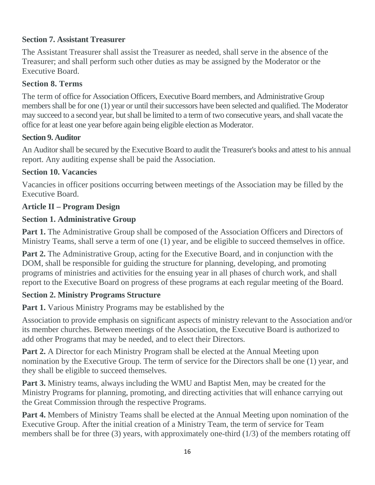## **Section 7. Assistant Treasurer**

The Assistant Treasurer shall assist the Treasurer as needed, shall serve in the absence of the Treasurer; and shall perform such other duties as may be assigned by the Moderator or the Executive Board.

## **Section 8. Terms**

The term of office for Association Officers, Executive Board members, and Administrative Group members shall be for one (1) year or until their successors have been selected and qualified. The Moderator may succeed to a second year, but shall be limited to a term of two consecutive years, and shall vacate the office for at least one year before again being eligible election as Moderator.

## **Section 9. Auditor**

An Auditor shall be secured by the Executive Board to audit the Treasurer's books and attest to his annual report. Any auditing expense shall be paid the Association.

## **Section 10. Vacancies**

Vacancies in officer positions occurring between meetings of the Association may be filled by the Executive Board.

## **Article II – Program Design**

## **Section 1. Administrative Group**

**Part 1.** The Administrative Group shall be composed of the Association Officers and Directors of Ministry Teams, shall serve a term of one (1) year, and be eligible to succeed themselves in office.

**Part 2.** The Administrative Group, acting for the Executive Board, and in conjunction with the DOM, shall be responsible for guiding the structure for planning, developing, and promoting programs of ministries and activities for the ensuing year in all phases of church work, and shall report to the Executive Board on progress of these programs at each regular meeting of the Board.

## **Section 2. Ministry Programs Structure**

**Part 1.** Various Ministry Programs may be established by the

Association to provide emphasis on significant aspects of ministry relevant to the Association and/or its member churches. Between meetings of the Association, the Executive Board is authorized to add other Programs that may be needed, and to elect their Directors.

**Part 2.** A Director for each Ministry Program shall be elected at the Annual Meeting upon nomination by the Executive Group. The term of service for the Directors shall be one (1) year, and they shall be eligible to succeed themselves.

**Part 3.** Ministry teams, always including the WMU and Baptist Men, may be created for the Ministry Programs for planning, promoting, and directing activities that will enhance carrying out the Great Commission through the respective Programs.

**Part 4.** Members of Ministry Teams shall be elected at the Annual Meeting upon nomination of the Executive Group. After the initial creation of a Ministry Team, the term of service for Team members shall be for three (3) years, with approximately one-third (1/3) of the members rotating off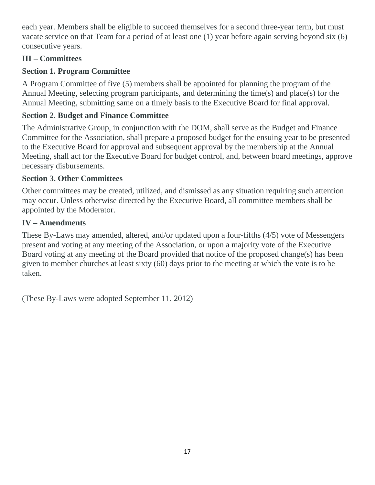each year. Members shall be eligible to succeed themselves for a second three-year term, but must vacate service on that Team for a period of at least one (1) year before again serving beyond six (6) consecutive years.

## **III – Committees**

## **Section 1. Program Committee**

A Program Committee of five (5) members shall be appointed for planning the program of the Annual Meeting, selecting program participants, and determining the time(s) and place(s) for the Annual Meeting, submitting same on a timely basis to the Executive Board for final approval.

## **Section 2. Budget and Finance Committee**

The Administrative Group, in conjunction with the DOM, shall serve as the Budget and Finance Committee for the Association, shall prepare a proposed budget for the ensuing year to be presented to the Executive Board for approval and subsequent approval by the membership at the Annual Meeting, shall act for the Executive Board for budget control, and, between board meetings, approve necessary disbursements.

## **Section 3. Other Committees**

Other committees may be created, utilized, and dismissed as any situation requiring such attention may occur. Unless otherwise directed by the Executive Board, all committee members shall be appointed by the Moderator.

## **IV – Amendments**

These By-Laws may amended, altered, and/or updated upon a four-fifths (4/5) vote of Messengers present and voting at any meeting of the Association, or upon a majority vote of the Executive Board voting at any meeting of the Board provided that notice of the proposed change(s) has been given to member churches at least sixty (60) days prior to the meeting at which the vote is to be taken.

(These By-Laws were adopted September 11, 2012)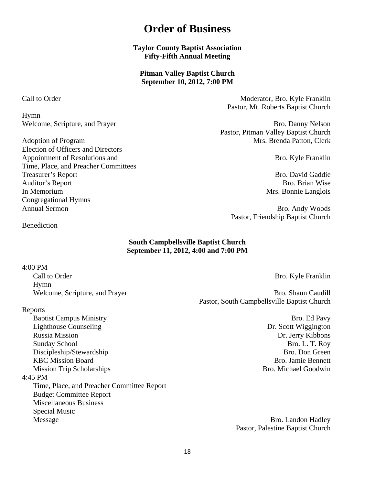## **Order of Business**

**Taylor County Baptist Association Fifty-Fifth Annual Meeting** 

**Pitman Valley Baptist Church September 10, 2012, 7:00 PM** 

<span id="page-17-0"></span>Call to Order **Moderator**, Bro. Kyle Franklin Pastor, Mt. Roberts Baptist Church

Welcome, Scripture, and Prayer Bro. Danny Nelson Pastor, Pitman Valley Baptist Church Adoption of Program Mrs. Brenda Patton, Clerk

Pastor, Friendship Baptist Church

Benediction

#### **South Campbellsville Baptist Church September 11, 2012, 4:00 and 7:00 PM**

#### 4:00 PM

Call to Order Bro. Kyle Franklin Hymn

#### Reports

Baptist Campus Ministry Bro. Ed Pavy Lighthouse Counseling Dr. Scott Wiggington Russia Mission Dr. Jerry Kibbons Sunday School Bro. L. T. Roy Discipleship/Stewardship Bro. Don Green KBC Mission Board Bro. Jamie Bennett Mission Trip Scholarships **Bro. Michael Goodwin** 4:45 PM Time, Place, and Preacher Committee Report Budget Committee Report Miscellaneous Business Special Music Message Bro. Landon Hadley

Welcome, Scripture, and Prayer Bro. Shaun Caudill Pastor, South Campbellsville Baptist Church

Pastor, Palestine Baptist Church

Hymn

Election of Officers and Directors Appointment of Resolutions and Bro. Kyle Franklin Time, Place, and Preacher Committees Treasurer's Report **Bro.** David Gaddie **Bro.** David Gaddie Auditor's Report Bro. Brian Wise In Memorium Mrs. Bonnie Langlois Congregational Hymns Annual Sermon Bro. Andy Woods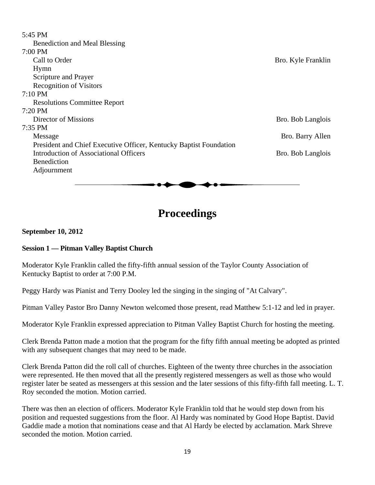<span id="page-18-0"></span>

| 5:45 PM                                                            |                    |
|--------------------------------------------------------------------|--------------------|
| <b>Benediction and Meal Blessing</b>                               |                    |
| 7:00 PM                                                            |                    |
| Call to Order                                                      | Bro. Kyle Franklin |
| Hymn                                                               |                    |
| Scripture and Prayer                                               |                    |
| <b>Recognition of Visitors</b>                                     |                    |
| $7:10 \text{ PM}$                                                  |                    |
| <b>Resolutions Committee Report</b>                                |                    |
| $7:20$ PM                                                          |                    |
| Director of Missions                                               | Bro. Bob Langlois  |
| 7:35 PM                                                            |                    |
| Message                                                            | Bro. Barry Allen   |
| President and Chief Executive Officer, Kentucky Baptist Foundation |                    |
| Introduction of Associational Officers                             | Bro. Bob Langlois  |
| <b>Benediction</b>                                                 |                    |
| Adjournment                                                        |                    |
|                                                                    |                    |

## **Proceedings**

#### **September 10, 2012**

#### **Session 1 — Pitman Valley Baptist Church**

Moderator Kyle Franklin called the fifty-fifth annual session of the Taylor County Association of Kentucky Baptist to order at 7:00 P.M.

Peggy Hardy was Pianist and Terry Dooley led the singing in the singing of "At Calvary".

Pitman Valley Pastor Bro Danny Newton welcomed those present, read Matthew 5:1-12 and led in prayer.

Moderator Kyle Franklin expressed appreciation to Pitman Valley Baptist Church for hosting the meeting.

Clerk Brenda Patton made a motion that the program for the fifty fifth annual meeting be adopted as printed with any subsequent changes that may need to be made.

Clerk Brenda Patton did the roll call of churches. Eighteen of the twenty three churches in the association were represented. He then moved that all the presently registered messengers as well as those who would register later be seated as messengers at this session and the later sessions of this fifty-fifth fall meeting. L. T. Roy seconded the motion. Motion carried.

There was then an election of officers. Moderator Kyle Franklin told that he would step down from his position and requested suggestions from the floor. Al Hardy was nominated by Good Hope Baptist. David Gaddie made a motion that nominations cease and that Al Hardy be elected by acclamation. Mark Shreve seconded the motion. Motion carried.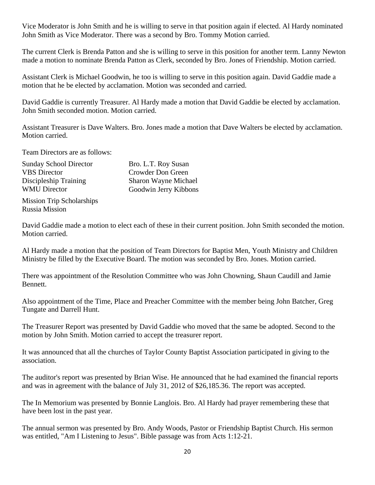Vice Moderator is John Smith and he is willing to serve in that position again if elected. Al Hardy nominated John Smith as Vice Moderator. There was a second by Bro. Tommy Motion carried.

The current Clerk is Brenda Patton and she is willing to serve in this position for another term. Lanny Newton made a motion to nominate Brenda Patton as Clerk, seconded by Bro. Jones of Friendship. Motion carried.

Assistant Clerk is Michael Goodwin, he too is willing to serve in this position again. David Gaddie made a motion that he be elected by acclamation. Motion was seconded and carried.

David Gaddie is currently Treasurer. Al Hardy made a motion that David Gaddie be elected by acclamation. John Smith seconded motion. Motion carried.

Assistant Treasurer is Dave Walters. Bro. Jones made a motion that Dave Walters be elected by acclamation. Motion carried.

Team Directors are as follows:

| <b>Sunday School Director</b><br><b>VBS</b> Director | Bro. L.T. Roy Susan<br>Crowder Don Green |
|------------------------------------------------------|------------------------------------------|
| Discipleship Training                                | Sharon Wayne Michael                     |
| <b>WMU Director</b>                                  | Goodwin Jerry Kibbons                    |

Mission Trip Scholarships Russia Mission

David Gaddie made a motion to elect each of these in their current position. John Smith seconded the motion. Motion carried.

Al Hardy made a motion that the position of Team Directors for Baptist Men, Youth Ministry and Children Ministry be filled by the Executive Board. The motion was seconded by Bro. Jones. Motion carried.

There was appointment of the Resolution Committee who was John Chowning, Shaun Caudill and Jamie Bennett.

Also appointment of the Time, Place and Preacher Committee with the member being John Batcher, Greg Tungate and Darrell Hunt.

The Treasurer Report was presented by David Gaddie who moved that the same be adopted. Second to the motion by John Smith. Motion carried to accept the treasurer report.

It was announced that all the churches of Taylor County Baptist Association participated in giving to the association.

The auditor's report was presented by Brian Wise. He announced that he had examined the financial reports and was in agreement with the balance of July 31, 2012 of \$26,185.36. The report was accepted.

The In Memorium was presented by Bonnie Langlois. Bro. Al Hardy had prayer remembering these that have been lost in the past year.

The annual sermon was presented by Bro. Andy Woods, Pastor or Friendship Baptist Church. His sermon was entitled, "Am I Listening to Jesus". Bible passage was from Acts 1:12-21.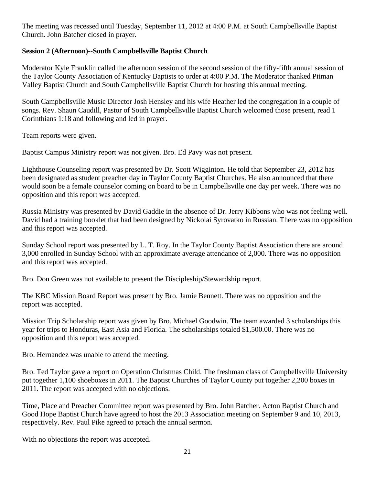The meeting was recessed until Tuesday, September 11, 2012 at 4:00 P.M. at South Campbellsville Baptist Church. John Batcher closed in prayer.

### **Session 2 (Afternoon)--South Campbellsville Baptist Church**

Moderator Kyle Franklin called the afternoon session of the second session of the fifty-fifth annual session of the Taylor County Association of Kentucky Baptists to order at 4:00 P.M. The Moderator thanked Pitman Valley Baptist Church and South Campbellsville Baptist Church for hosting this annual meeting.

South Campbellsville Music Director Josh Hensley and his wife Heather led the congregation in a couple of songs. Rev. Shaun Caudill, Pastor of South Campbellsville Baptist Church welcomed those present, read 1 Corinthians 1:18 and following and led in prayer.

Team reports were given.

Baptist Campus Ministry report was not given. Bro. Ed Pavy was not present.

Lighthouse Counseling report was presented by Dr. Scott Wigginton. He told that September 23, 2012 has been designated as student preacher day in Taylor County Baptist Churches. He also announced that there would soon be a female counselor coming on board to be in Campbellsville one day per week. There was no opposition and this report was accepted.

Russia Ministry was presented by David Gaddie in the absence of Dr. Jerry Kibbons who was not feeling well. David had a training booklet that had been designed by Nickolai Syrovatko in Russian. There was no opposition and this report was accepted.

Sunday School report was presented by L. T. Roy. In the Taylor County Baptist Association there are around 3,000 enrolled in Sunday School with an approximate average attendance of 2,000. There was no opposition and this report was accepted.

Bro. Don Green was not available to present the Discipleship/Stewardship report.

The KBC Mission Board Report was present by Bro. Jamie Bennett. There was no opposition and the report was accepted.

Mission Trip Scholarship report was given by Bro. Michael Goodwin. The team awarded 3 scholarships this year for trips to Honduras, East Asia and Florida. The scholarships totaled \$1,500.00. There was no opposition and this report was accepted.

Bro. Hernandez was unable to attend the meeting.

Bro. Ted Taylor gave a report on Operation Christmas Child. The freshman class of Campbellsville University put together 1,100 shoeboxes in 2011. The Baptist Churches of Taylor County put together 2,200 boxes in 2011. The report was accepted with no objections.

Time, Place and Preacher Committee report was presented by Bro. John Batcher. Acton Baptist Church and Good Hope Baptist Church have agreed to host the 2013 Association meeting on September 9 and 10, 2013, respectively. Rev. Paul Pike agreed to preach the annual sermon.

With no objections the report was accepted.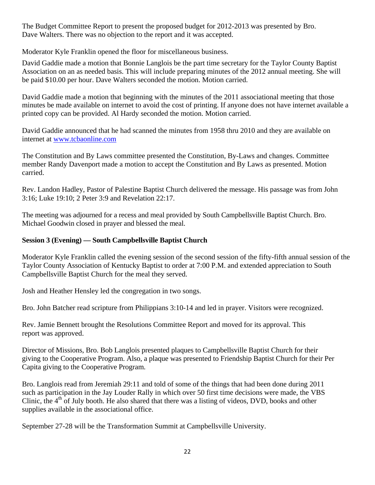The Budget Committee Report to present the proposed budget for 2012-2013 was presented by Bro. Dave Walters. There was no objection to the report and it was accepted.

Moderator Kyle Franklin opened the floor for miscellaneous business.

David Gaddie made a motion that Bonnie Langlois be the part time secretary for the Taylor County Baptist Association on an as needed basis. This will include preparing minutes of the 2012 annual meeting. She will be paid \$10.00 per hour. Dave Walters seconded the motion. Motion carried.

David Gaddie made a motion that beginning with the minutes of the 2011 associational meeting that those minutes be made available on internet to avoid the cost of printing. If anyone does not have internet available a printed copy can be provided. Al Hardy seconded the motion. Motion carried.

David Gaddie announced that he had scanned the minutes from 1958 thru 2010 and they are available on internet at www.tcbaonline.com

The Constitution and By Laws committee presented the Constitution, By-Laws and changes. Committee member Randy Davenport made a motion to accept the Constitution and By Laws as presented. Motion carried.

Rev. Landon Hadley, Pastor of Palestine Baptist Church delivered the message. His passage was from John 3:16; Luke 19:10; 2 Peter 3:9 and Revelation 22:17.

The meeting was adjourned for a recess and meal provided by South Campbellsville Baptist Church. Bro. Michael Goodwin closed in prayer and blessed the meal.

### **Session 3 (Evening) — South Campbellsville Baptist Church**

Moderator Kyle Franklin called the evening session of the second session of the fifty-fifth annual session of the Taylor County Association of Kentucky Baptist to order at 7:00 P.M. and extended appreciation to South Campbellsville Baptist Church for the meal they served.

Josh and Heather Hensley led the congregation in two songs.

Bro. John Batcher read scripture from Philippians 3:10-14 and led in prayer. Visitors were recognized.

Rev. Jamie Bennett brought the Resolutions Committee Report and moved for its approval. This report was approved.

Director of Missions, Bro. Bob Langlois presented plaques to Campbellsville Baptist Church for their giving to the Cooperative Program. Also, a plaque was presented to Friendship Baptist Church for their Per Capita giving to the Cooperative Program.

Bro. Langlois read from Jeremiah 29:11 and told of some of the things that had been done during 2011 such as participation in the Jay Louder Rally in which over 50 first time decisions were made, the VBS Clinic, the  $4<sup>th</sup>$  of July booth. He also shared that there was a listing of videos, DVD, books and other supplies available in the associational office.

September 27-28 will be the Transformation Summit at Campbellsville University.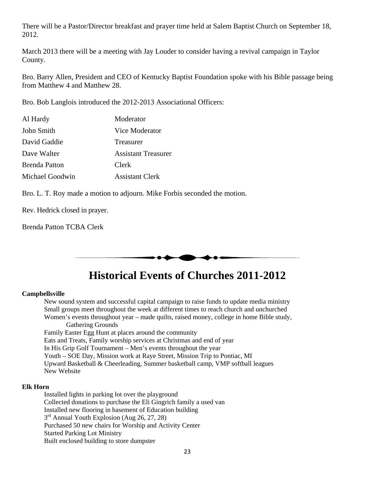<span id="page-22-0"></span>There will be a Pastor/Director breakfast and prayer time held at Salem Baptist Church on September 18, 2012.

March 2013 there will be a meeting with Jay Louder to consider having a revival campaign in Taylor County.

Bro. Barry Allen, President and CEO of Kentucky Baptist Foundation spoke with his Bible passage being from Matthew 4 and Matthew 28.

Bro. Bob Langlois introduced the 2012-2013 Associational Officers:

| Al Hardy             | Moderator                  |
|----------------------|----------------------------|
| John Smith           | Vice Moderator             |
| David Gaddie         | Treasurer                  |
| Dave Walter          | <b>Assistant Treasurer</b> |
| <b>Brenda Patton</b> | Clerk                      |
| Michael Goodwin      | <b>Assistant Clerk</b>     |

Bro. L. T. Roy made a motion to adjourn. Mike Forbis seconded the motion.

Rev. Hedrick closed in prayer.

Brenda Patton TCBA Clerk



## **Historical Events of Churches 2011-2012**

#### **Campbellsville**

New sound system and successful capital campaign to raise funds to update media ministry Small groups meet throughout the week at different times to reach church and unchurched Women's events throughout year – made quilts, raised money, college in home Bible study, Gathering Grounds Family Easter Egg Hunt at places around the community Eats and Treats, Family worship services at Christmas and end of year In His Grip Golf Tournament – Men's events throughout the year

 Youth – SOE Day, Mission work at Raye Street, Mission Trip to Pontiac, MI Upward Basketball & Cheerleading, Summer basketball camp, VMP softball leagues New Website

#### **Elk Horn**

Installed lights in parking lot over the playground Collected donations to purchase the Eli Gingrich family a used van Installed new flooring in basement of Education building 3<sup>rd</sup> Annual Youth Explosion (Aug 26, 27, 28) Purchased 50 new chairs for Worship and Activity Center Started Parking Lot Ministry Built enclosed building to store dumpster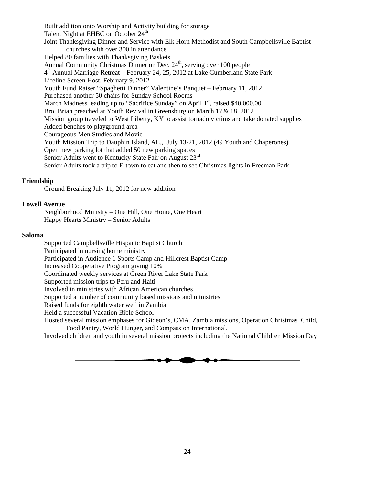Built addition onto Worship and Activity building for storage Talent Night at EHBC on October 24<sup>th</sup> Joint Thanksgiving Dinner and Service with Elk Horn Methodist and South Campbellsville Baptist churches with over 300 in attendance Helped 80 families with Thanksgiving Baskets Annual Community Christmas Dinner on Dec.  $24<sup>th</sup>$ , serving over 100 people  $4<sup>th</sup>$  Annual Marriage Retreat – February 24, 25, 2012 at Lake Cumberland State Park Lifeline Screen Host, February 9, 2012 Youth Fund Raiser "Spaghetti Dinner" Valentine's Banquet – February 11, 2012 Purchased another 50 chairs for Sunday School Rooms March Madness leading up to "Sacrifice Sunday" on April  $1<sup>st</sup>$ , raised \$40,000.00 Bro. Brian preached at Youth Revival in Greensburg on March 17& 18, 2012 Mission group traveled to West Liberty, KY to assist tornado victims and take donated supplies Added benches to playground area Courageous Men Studies and Movie Youth Mission Trip to Dauphin Island, AL., July 13-21, 2012 (49 Youth and Chaperones) Open new parking lot that added 50 new parking spaces Senior Adults went to Kentucky State Fair on August 23rd Senior Adults took a trip to E-town to eat and then to see Christmas lights in Freeman Park

#### **Friendship**

Ground Breaking July 11, 2012 for new addition

#### **Lowell Avenue**

Neighborhood Ministry – One Hill, One Home, One Heart Happy Hearts Ministry – Senior Adults

#### **Saloma**

Supported Campbellsville Hispanic Baptist Church Participated in nursing home ministry Participated in Audience 1 Sports Camp and Hillcrest Baptist Camp Increased Cooperative Program giving 10% Coordinated weekly services at Green River Lake State Park Supported mission trips to Peru and Haiti Involved in ministries with African American churches Supported a number of community based missions and ministries Raised funds for eighth water well in Zambia Held a successful Vacation Bible School Hosted several mission emphases for Gideon's, CMA, Zambia missions, Operation Christmas Child, Food Pantry, World Hunger, and Compassion International.

Involved children and youth in several mission projects including the National Children Mission Day

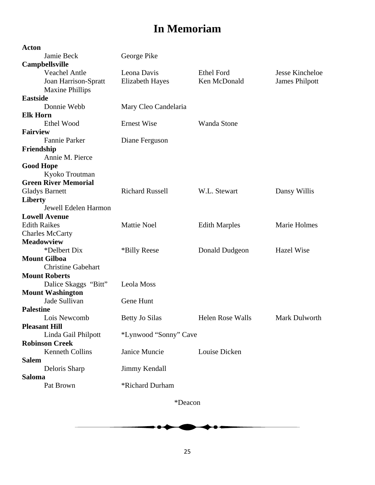# **In Memoriam**

<span id="page-24-0"></span>

| George Pike            |                                                                               |                       |
|------------------------|-------------------------------------------------------------------------------|-----------------------|
|                        |                                                                               |                       |
|                        |                                                                               |                       |
| Leona Davis            | <b>Ethel Ford</b>                                                             | Jesse Kincheloe       |
| <b>Elizabeth Hayes</b> | Ken McDonald                                                                  | <b>James Philpott</b> |
|                        |                                                                               |                       |
|                        |                                                                               |                       |
| Mary Cleo Candelaria   |                                                                               |                       |
|                        |                                                                               |                       |
|                        | Wanda Stone                                                                   |                       |
|                        |                                                                               |                       |
| Diane Ferguson         |                                                                               |                       |
|                        |                                                                               |                       |
|                        |                                                                               |                       |
|                        |                                                                               |                       |
|                        |                                                                               |                       |
|                        |                                                                               |                       |
| <b>Richard Russell</b> | W.L. Stewart                                                                  | Dansy Willis          |
|                        |                                                                               |                       |
|                        |                                                                               |                       |
|                        |                                                                               |                       |
| <b>Mattie Noel</b>     | <b>Edith Marples</b>                                                          | Marie Holmes          |
|                        |                                                                               |                       |
|                        |                                                                               |                       |
| *Billy Reese           | Donald Dudgeon                                                                | <b>Hazel Wise</b>     |
|                        |                                                                               |                       |
|                        |                                                                               |                       |
|                        |                                                                               |                       |
| Leola Moss             |                                                                               |                       |
|                        |                                                                               |                       |
| Gene Hunt              |                                                                               |                       |
|                        |                                                                               |                       |
|                        | <b>Helen Rose Walls</b>                                                       | Mark Dulworth         |
|                        |                                                                               |                       |
|                        |                                                                               |                       |
|                        |                                                                               |                       |
|                        | Louise Dicken                                                                 |                       |
|                        |                                                                               |                       |
|                        |                                                                               |                       |
|                        |                                                                               |                       |
| *Richard Durham        |                                                                               |                       |
|                        | <b>Ernest Wise</b><br><b>Betty Jo Silas</b><br>Janice Muncie<br>Jimmy Kendall | *Lynwood "Sonny" Cave |

\*Deacon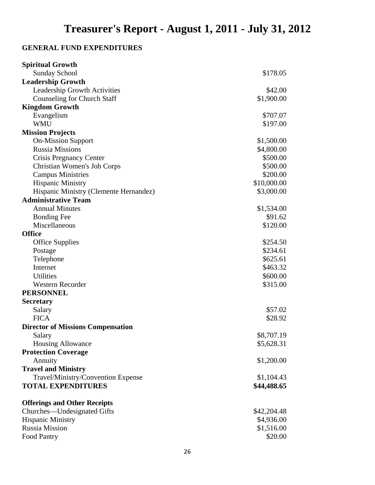## <span id="page-25-0"></span>**GENERAL FUND EXPENDITURES**

| <b>Spiritual Growth</b>                  |             |
|------------------------------------------|-------------|
| <b>Sunday School</b>                     | \$178.05    |
| <b>Leadership Growth</b>                 |             |
| <b>Leadership Growth Activities</b>      | \$42.00     |
| <b>Counseling for Church Staff</b>       | \$1,900.00  |
| <b>Kingdom Growth</b>                    |             |
| Evangelism                               | \$707.07    |
| <b>WMU</b>                               | \$197.00    |
| <b>Mission Projects</b>                  |             |
| <b>On-Mission Support</b>                | \$1,500.00  |
| <b>Russia Missions</b>                   | \$4,800.00  |
| <b>Crisis Pregnancy Center</b>           | \$500.00    |
| <b>Christian Women's Job Corps</b>       | \$500.00    |
| <b>Campus Ministries</b>                 | \$200.00    |
| <b>Hispanic Ministry</b>                 | \$10,000.00 |
| Hispanic Ministry (Clemente Hernandez)   | \$3,000.00  |
| <b>Administrative Team</b>               |             |
| <b>Annual Minutes</b>                    | \$1,534.00  |
| <b>Bonding Fee</b>                       | \$91.62     |
| Miscellaneous                            | \$120.00    |
| <b>Office</b>                            |             |
| <b>Office Supplies</b>                   | \$254.50    |
| Postage                                  | \$234.61    |
| Telephone                                | \$625.61    |
| Internet                                 | \$463.32    |
| <b>Utilities</b>                         | \$600.00    |
| <b>Western Recorder</b>                  | \$315.00    |
| <b>PERSONNEL</b>                         |             |
| <b>Secretary</b>                         |             |
| Salary                                   | \$57.02     |
| <b>FICA</b>                              | \$28.92     |
| <b>Director of Missions Compensation</b> |             |
| Salary                                   | \$8,707.19  |
| <b>Housing Allowance</b>                 | \$5,628.31  |
| <b>Protection Coverage</b>               |             |
| Annuity                                  | \$1,200.00  |
| <b>Travel and Ministry</b>               |             |
| Travel/Ministry/Convention Expense       | \$1,104.43  |
| <b>TOTAL EXPENDITURES</b>                | \$44,488.65 |
| <b>Offerings and Other Receipts</b>      |             |
| Churches-Undesignated Gifts              | \$42,204.48 |
| <b>Hispanic Ministry</b>                 | \$4,936.00  |
| <b>Russia Mission</b>                    | \$1,516.00  |
| <b>Food Pantry</b>                       | \$20.00     |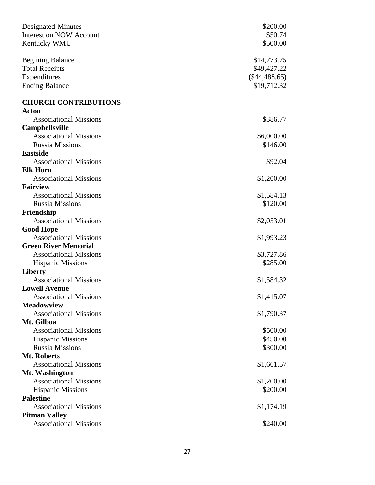| Designated-Minutes             | \$200.00        |
|--------------------------------|-----------------|
| <b>Interest on NOW Account</b> | \$50.74         |
| Kentucky WMU                   | \$500.00        |
| <b>Begining Balance</b>        | \$14,773.75     |
| <b>Total Receipts</b>          | \$49,427.22     |
| Expenditures                   | $(\$44,488.65)$ |
| <b>Ending Balance</b>          | \$19,712.32     |
| <b>CHURCH CONTRIBUTIONS</b>    |                 |
| <b>Acton</b>                   |                 |
| <b>Associational Missions</b>  | \$386.77        |
| Campbellsville                 |                 |
| <b>Associational Missions</b>  | \$6,000.00      |
| <b>Russia Missions</b>         | \$146.00        |
| <b>Eastside</b>                |                 |
| <b>Associational Missions</b>  | \$92.04         |
| <b>Elk Horn</b>                |                 |
| <b>Associational Missions</b>  | \$1,200.00      |
| <b>Fairview</b>                |                 |
| <b>Associational Missions</b>  | \$1,584.13      |
| <b>Russia Missions</b>         | \$120.00        |
| Friendship                     |                 |
| <b>Associational Missions</b>  | \$2,053.01      |
| <b>Good Hope</b>               |                 |
| <b>Associational Missions</b>  | \$1,993.23      |
| <b>Green River Memorial</b>    |                 |
| <b>Associational Missions</b>  | \$3,727.86      |
| <b>Hispanic Missions</b>       | \$285.00        |
| <b>Liberty</b>                 |                 |
| <b>Associational Missions</b>  | \$1,584.32      |
| <b>Lowell Avenue</b>           |                 |
| <b>Associational Missions</b>  | \$1,415.07      |
| <b>Meadowview</b>              |                 |
| <b>Associational Missions</b>  | \$1,790.37      |
| Mt. Gilboa                     |                 |
| <b>Associational Missions</b>  | \$500.00        |
| <b>Hispanic Missions</b>       | \$450.00        |
| <b>Russia Missions</b>         | \$300.00        |
| Mt. Roberts                    |                 |
| <b>Associational Missions</b>  | \$1,661.57      |
|                                |                 |
| Mt. Washington                 |                 |
| <b>Associational Missions</b>  | \$1,200.00      |
| <b>Hispanic Missions</b>       | \$200.00        |
| <b>Palestine</b>               |                 |
| <b>Associational Missions</b>  | \$1,174.19      |
| <b>Pitman Valley</b>           |                 |
| <b>Associational Missions</b>  | \$240.00        |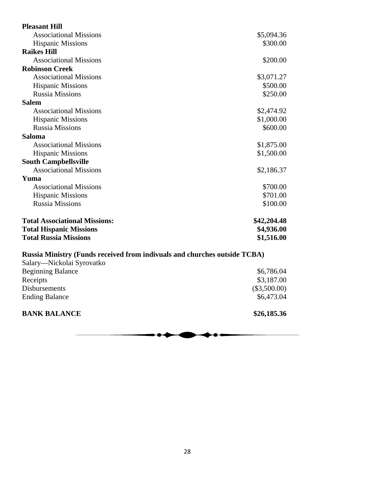| <b>Pleasant Hill</b>                                                      |                |
|---------------------------------------------------------------------------|----------------|
| <b>Associational Missions</b>                                             | \$5,094.36     |
| <b>Hispanic Missions</b>                                                  | \$300.00       |
| <b>Raikes Hill</b>                                                        |                |
| <b>Associational Missions</b>                                             | \$200.00       |
| <b>Robinson Creek</b>                                                     |                |
| <b>Associational Missions</b>                                             | \$3,071.27     |
| <b>Hispanic Missions</b>                                                  | \$500.00       |
| <b>Russia Missions</b>                                                    | \$250.00       |
| <b>Salem</b>                                                              |                |
| <b>Associational Missions</b>                                             | \$2,474.92     |
| <b>Hispanic Missions</b>                                                  | \$1,000.00     |
| <b>Russia Missions</b>                                                    | \$600.00       |
| Saloma                                                                    |                |
| <b>Associational Missions</b>                                             | \$1,875.00     |
| <b>Hispanic Missions</b>                                                  | \$1,500.00     |
| <b>South Campbellsville</b>                                               |                |
| <b>Associational Missions</b>                                             | \$2,186.37     |
| Yuma                                                                      |                |
| <b>Associational Missions</b>                                             | \$700.00       |
| <b>Hispanic Missions</b>                                                  | \$701.00       |
| <b>Russia Missions</b>                                                    | \$100.00       |
| <b>Total Associational Missions:</b>                                      | \$42,204.48    |
| <b>Total Hispanic Missions</b>                                            | \$4,936.00     |
| <b>Total Russia Missions</b>                                              | \$1,516.00     |
| Russia Ministry (Funds received from indivuals and churches outside TCBA) |                |
| Salary—Nickolai Syrovatko                                                 |                |
| <b>Beginning Balance</b>                                                  | \$6,786.04     |
| Receipts                                                                  | \$3,187.00     |
| Disbursements                                                             | $(\$3,500.00)$ |
| <b>Ending Balance</b>                                                     | \$6,473.04     |

**BANK BALANCE** \$26,185.36

 $\bullet$ ◀ ◆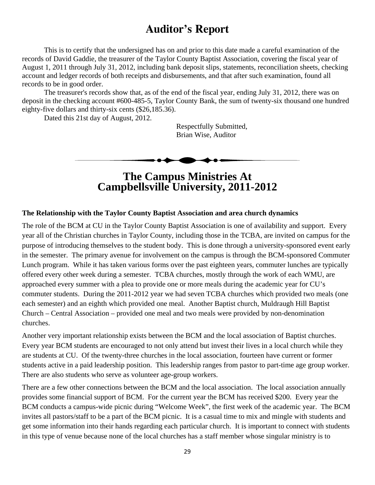## **Auditor's Report**

<span id="page-28-0"></span> This is to certify that the undersigned has on and prior to this date made a careful examination of the records of David Gaddie, the treasurer of the Taylor County Baptist Association, covering the fiscal year of August 1, 2011 through July 31, 2012, including bank deposit slips, statements, reconciliation sheets, checking account and ledger records of both receipts and disbursements, and that after such examination, found all records to be in good order.

 The treasurer's records show that, as of the end of the fiscal year, ending July 31, 2012, there was on deposit in the checking account #600-485-5, Taylor County Bank, the sum of twenty-six thousand one hundred eighty-five dollars and thirty-six cents (\$26,185.36).

Dated this 21st day of August, 2012.

 Respectfully Submitted, Brian Wise, Auditor

**The Campus Ministries At Campbellsville University, 2011-2012** 

#### **The Relationship with the Taylor County Baptist Association and area church dynamics**

The role of the BCM at CU in the Taylor County Baptist Association is one of availability and support. Every year all of the Christian churches in Taylor County, including those in the TCBA, are invited on campus for the purpose of introducing themselves to the student body. This is done through a university-sponsored event early in the semester. The primary avenue for involvement on the campus is through the BCM-sponsored Commuter Lunch program. While it has taken various forms over the past eighteen years, commuter lunches are typically offered every other week during a semester. TCBA churches, mostly through the work of each WMU, are approached every summer with a plea to provide one or more meals during the academic year for CU's commuter students. During the 2011-2012 year we had seven TCBA churches which provided two meals (one each semester) and an eighth which provided one meal. Another Baptist church, Muldraugh Hill Baptist Church – Central Association – provided one meal and two meals were provided by non-denomination churches.

Another very important relationship exists between the BCM and the local association of Baptist churches. Every year BCM students are encouraged to not only attend but invest their lives in a local church while they are students at CU. Of the twenty-three churches in the local association, fourteen have current or former students active in a paid leadership position. This leadership ranges from pastor to part-time age group worker. There are also students who serve as volunteer age-group workers.

There are a few other connections between the BCM and the local association. The local association annually provides some financial support of BCM. For the current year the BCM has received \$200. Every year the BCM conducts a campus-wide picnic during "Welcome Week", the first week of the academic year. The BCM invites all pastors/staff to be a part of the BCM picnic. It is a casual time to mix and mingle with students and get some information into their hands regarding each particular church. It is important to connect with students in this type of venue because none of the local churches has a staff member whose singular ministry is to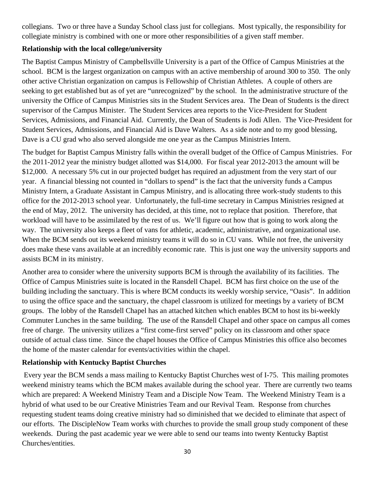collegians. Two or three have a Sunday School class just for collegians. Most typically, the responsibility for collegiate ministry is combined with one or more other responsibilities of a given staff member.

### **Relationship with the local college/university**

The Baptist Campus Ministry of Campbellsville University is a part of the Office of Campus Ministries at the school. BCM is the largest organization on campus with an active membership of around 300 to 350. The only other active Christian organization on campus is Fellowship of Christian Athletes. A couple of others are seeking to get established but as of yet are "unrecognized" by the school. In the administrative structure of the university the Office of Campus Ministries sits in the Student Services area. The Dean of Students is the direct supervisor of the Campus Minister. The Student Services area reports to the Vice-President for Student Services, Admissions, and Financial Aid. Currently, the Dean of Students is Jodi Allen. The Vice-President for Student Services, Admissions, and Financial Aid is Dave Walters. As a side note and to my good blessing, Dave is a CU grad who also served alongside me one year as the Campus Ministries Intern.

The budget for Baptist Campus Ministry falls within the overall budget of the Office of Campus Ministries. For the 2011-2012 year the ministry budget allotted was \$14,000. For fiscal year 2012-2013 the amount will be \$12,000. A necessary 5% cut in our projected budget has required an adjustment from the very start of our year. A financial blessing not counted in "dollars to spend" is the fact that the university funds a Campus Ministry Intern, a Graduate Assistant in Campus Ministry, and is allocating three work-study students to this office for the 2012-2013 school year. Unfortunately, the full-time secretary in Campus Ministries resigned at the end of May, 2012. The university has decided, at this time, not to replace that position. Therefore, that workload will have to be assimilated by the rest of us. We'll figure out how that is going to work along the way. The university also keeps a fleet of vans for athletic, academic, administrative, and organizational use. When the BCM sends out its weekend ministry teams it will do so in CU vans. While not free, the university does make these vans available at an incredibly economic rate. This is just one way the university supports and assists BCM in its ministry.

Another area to consider where the university supports BCM is through the availability of its facilities. The Office of Campus Ministries suite is located in the Ransdell Chapel. BCM has first choice on the use of the building including the sanctuary. This is where BCM conducts its weekly worship service, "Oasis". In addition to using the office space and the sanctuary, the chapel classroom is utilized for meetings by a variety of BCM groups. The lobby of the Ransdell Chapel has an attached kitchen which enables BCM to host its bi-weekly Commuter Lunches in the same building. The use of the Ransdell Chapel and other space on campus all comes free of charge. The university utilizes a "first come-first served" policy on its classroom and other space outside of actual class time. Since the chapel houses the Office of Campus Ministries this office also becomes the home of the master calendar for events/activities within the chapel.

## **Relationship with Kentucky Baptist Churches**

 Every year the BCM sends a mass mailing to Kentucky Baptist Churches west of I-75. This mailing promotes weekend ministry teams which the BCM makes available during the school year. There are currently two teams which are prepared: A Weekend Ministry Team and a Disciple Now Team. The Weekend Ministry Team is a hybrid of what used to be our Creative Ministries Team and our Revival Team. Response from churches requesting student teams doing creative ministry had so diminished that we decided to eliminate that aspect of our efforts. The DiscipleNow Team works with churches to provide the small group study component of these weekends. During the past academic year we were able to send our teams into twenty Kentucky Baptist Churches/entities.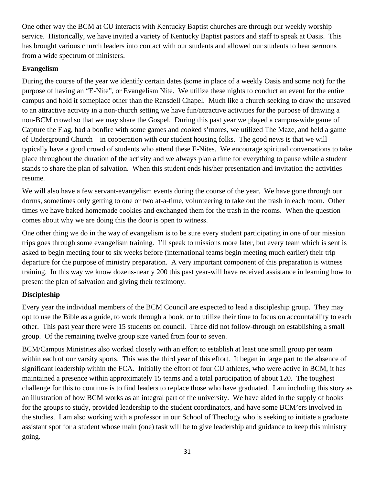One other way the BCM at CU interacts with Kentucky Baptist churches are through our weekly worship service. Historically, we have invited a variety of Kentucky Baptist pastors and staff to speak at Oasis. This has brought various church leaders into contact with our students and allowed our students to hear sermons from a wide spectrum of ministers.

## **Evangelism**

During the course of the year we identify certain dates (some in place of a weekly Oasis and some not) for the purpose of having an "E-Nite", or Evangelism Nite. We utilize these nights to conduct an event for the entire campus and hold it someplace other than the Ransdell Chapel. Much like a church seeking to draw the unsaved to an attractive activity in a non-church setting we have fun/attractive activities for the purpose of drawing a non-BCM crowd so that we may share the Gospel. During this past year we played a campus-wide game of Capture the Flag, had a bonfire with some games and cooked s'mores, we utilized The Maze, and held a game of Underground Church – in cooperation with our student housing folks. The good news is that we will typically have a good crowd of students who attend these E-Nites. We encourage spiritual conversations to take place throughout the duration of the activity and we always plan a time for everything to pause while a student stands to share the plan of salvation. When this student ends his/her presentation and invitation the activities resume.

We will also have a few servant-evangelism events during the course of the year. We have gone through our dorms, sometimes only getting to one or two at-a-time, volunteering to take out the trash in each room. Other times we have baked homemade cookies and exchanged them for the trash in the rooms. When the question comes about why we are doing this the door is open to witness.

One other thing we do in the way of evangelism is to be sure every student participating in one of our mission trips goes through some evangelism training. I'll speak to missions more later, but every team which is sent is asked to begin meeting four to six weeks before (international teams begin meeting much earlier) their trip departure for the purpose of ministry preparation. A very important component of this preparation is witness training. In this way we know dozens-nearly 200 this past year-will have received assistance in learning how to present the plan of salvation and giving their testimony.

## **Discipleship**

Every year the individual members of the BCM Council are expected to lead a discipleship group. They may opt to use the Bible as a guide, to work through a book, or to utilize their time to focus on accountability to each other. This past year there were 15 students on council. Three did not follow-through on establishing a small group. Of the remaining twelve group size varied from four to seven.

BCM/Campus Ministries also worked closely with an effort to establish at least one small group per team within each of our varsity sports. This was the third year of this effort. It began in large part to the absence of significant leadership within the FCA. Initially the effort of four CU athletes, who were active in BCM, it has maintained a presence within approximately 15 teams and a total participation of about 120. The toughest challenge for this to continue is to find leaders to replace those who have graduated. I am including this story as an illustration of how BCM works as an integral part of the university. We have aided in the supply of books for the groups to study, provided leadership to the student coordinators, and have some BCM'ers involved in the studies. I am also working with a professor in our School of Theology who is seeking to initiate a graduate assistant spot for a student whose main (one) task will be to give leadership and guidance to keep this ministry going.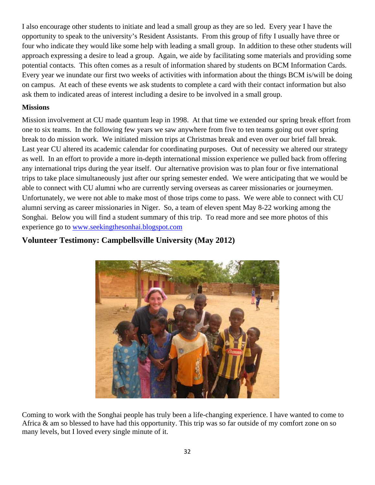I also encourage other students to initiate and lead a small group as they are so led. Every year I have the opportunity to speak to the university's Resident Assistants. From this group of fifty I usually have three or four who indicate they would like some help with leading a small group. In addition to these other students will approach expressing a desire to lead a group. Again, we aide by facilitating some materials and providing some potential contacts. This often comes as a result of information shared by students on BCM Information Cards. Every year we inundate our first two weeks of activities with information about the things BCM is/will be doing on campus. At each of these events we ask students to complete a card with their contact information but also ask them to indicated areas of interest including a desire to be involved in a small group.

### **Missions**

Mission involvement at CU made quantum leap in 1998. At that time we extended our spring break effort from one to six teams. In the following few years we saw anywhere from five to ten teams going out over spring break to do mission work. We initiated mission trips at Christmas break and even over our brief fall break. Last year CU altered its academic calendar for coordinating purposes. Out of necessity we altered our strategy as well. In an effort to provide a more in-depth international mission experience we pulled back from offering any international trips during the year itself. Our alternative provision was to plan four or five international trips to take place simultaneously just after our spring semester ended. We were anticipating that we would be able to connect with CU alumni who are currently serving overseas as career missionaries or journeymen. Unfortunately, we were not able to make most of those trips come to pass. We were able to connect with CU alumni serving as career missionaries in Niger. So, a team of eleven spent May 8-22 working among the Songhai. Below you will find a student summary of this trip. To read more and see more photos of this experience go to www.seekingthesonhai.blogspot.com



## **Volunteer Testimony: Campbellsville University (May 2012)**

Coming to work with the Songhai people has truly been a life-changing experience. I have wanted to come to Africa & am so blessed to have had this opportunity. This trip was so far outside of my comfort zone on so many levels, but I loved every single minute of it.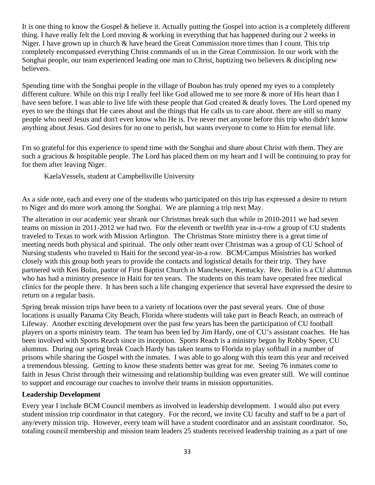It is one thing to know the Gospel & believe it. Actually putting the Gospel into action is a completely different thing. I have really felt the Lord moving & working in everything that has happened during our 2 weeks in Niger. I have grown up in church  $\&$  have heard the Great Commission more times than I count. This trip completely encompassed everything Christ commands of us in the Great Commission. In our work with the Songhai people, our team experienced leading one man to Christ, baptizing two believers & discipling new believers.

Spending time with the Songhai people in the village of Boubon has truly opened my eyes to a completely different culture. While on this trip I really feel like God allowed me to see more & more of His heart than I have seen before. I was able to live life with these people that God created & dearly loves. The Lord opened my eyes to see the things that He cares about and the things that He calls us to care about. there are still so many people who need Jesus and don't even know who He is. I've never met anyone before this trip who didn't know anything about Jesus. God desires for no one to perish, but wants everyone to come to Him for eternal life.

I'm so grateful for this experience to spend time with the Songhai and share about Christ with them. They are such a gracious & hospitable people. The Lord has placed them on my heart and I will be continuing to pray for for them after leaving Niger.

KaelaVessels, student at Campbellsville University

As a side note, each and every one of the students who participated on this trip has expressed a desire to return to Niger and do more work among the Songhai. We are planning a trip next May.

The alteration in our academic year shrank our Christmas break such that while in 2010-2011 we had seven teams on mission in 2011-2012 we had two. For the eleventh or twelfth year in-a-row a group of CU students traveled to Texas to work with Mission Arlington. The Christmas Store ministry there is a great time of meeting needs both physical and spiritual. The only other team over Christmas was a group of CU School of Nursing students who traveled to Haiti for the second year-in-a row. BCM/Campus Ministries has worked closely with this group both years to provide the contacts and logistical details for their trip. They have partnered with Ken Bolin, pastor of First Baptist Church in Manchester, Kentucky. Rev. Bolin is a CU alumnus who has had a ministry presence in Haiti for ten years. The students on this team have operated free medical clinics for the people there. It has been such a life changing experience that several have expressed the desire to return on a regular basis.

Spring break mission trips have been to a variety of locations over the past several years. One of those locations is usually Panama City Beach, Florida where students will take part in Beach Reach, an outreach of Lifeway. Another exciting development over the past few years has been the participation of CU football players on a sports ministry team. The team has been led by Jim Hardy, one of CU's assistant coaches. He has been involved with Sports Reach since its inception. Sports Reach is a ministry begun by Robby Speer, CU alumnus. During our spring break Coach Hardy has taken teams to Florida to play softball in a number of prisons while sharing the Gospel with the inmates. I was able to go along with this team this year and received a tremendous blessing. Getting to know these students better was great for me. Seeing 76 inmates come to faith in Jesus Christ through their witnessing and relationship building was even greater still. We will continue to support and encourage our coaches to involve their teams in mission opportunities.

### **Leadership Development**

Every year I include BCM Council members as involved in leadership development. I would also put every student mission trip coordinator in that category. For the record, we invite CU faculty and staff to be a part of any/every mission trip. However, every team will have a student coordinator and an assistant coordinator. So, totaling council membership and mission team leaders 25 students received leadership training as a part of one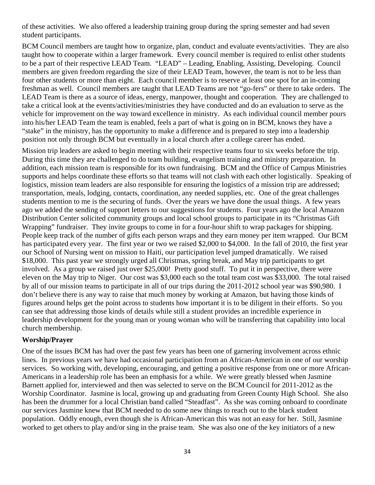of these activities. We also offered a leadership training group during the spring semester and had seven student participants.

BCM Council members are taught how to organize, plan, conduct and evaluate events/activities. They are also taught how to cooperate within a larger framework. Every council member is required to enlist other students to be a part of their respective LEAD Team. "LEAD" – Leading, Enabling, Assisting, Developing. Council members are given freedom regarding the size of their LEAD Team, however, the team is not to be less than four other students or more than eight. Each council member is to reserve at least one spot for an in-coming freshman as well. Council members are taught that LEAD Teams are not "go-fers" or there to take orders. The LEAD Team is there as a source of ideas, energy, manpower, thought and cooperation. They are challenged to take a critical look at the events/activities/ministries they have conducted and do an evaluation to serve as the vehicle for improvement on the way toward excellence in ministry. As each individual council member pours into his/her LEAD Team the team is enabled, feels a part of what is going on in BCM, knows they have a "stake" in the ministry, has the opportunity to make a difference and is prepared to step into a leadership position not only through BCM but eventually in a local church after a college career has ended.

Mission trip leaders are asked to begin meeting with their respective teams four to six weeks before the trip. During this time they are challenged to do team building, evangelism training and ministry preparation. In addition, each mission team is responsible for its own fundraising. BCM and the Office of Campus Ministries supports and helps coordinate these efforts so that teams will not clash with each other logistically. Speaking of logistics, mission team leaders are also responsible for ensuring the logistics of a mission trip are addressed; transportation, meals, lodging, contacts, coordination, any needed supplies, etc. One of the great challenges students mention to me is the securing of funds. Over the years we have done the usual things. A few years ago we added the sending of support letters to our suggestions for students. Four years ago the local Amazon Distribution Center solicited community groups and local school groups to participate in its "Christmas Gift Wrapping" fundraiser. They invite groups to come in for a four-hour shift to wrap packages for shipping. People keep track of the number of gifts each person wraps and they earn money per item wrapped. Our BCM has participated every year. The first year or two we raised \$2,000 to \$4,000. In the fall of 2010, the first year our School of Nursing went on mission to Haiti, our participation level jumped dramatically. We raised \$18,000. This past year we strongly urged all Christmas, spring break, and May trip participants to get involved. As a group we raised just over \$25,000! Pretty good stuff. To put it in perspective, there were eleven on the May trip to Niger. Our cost was \$3,000 each so the total team cost was \$33,000. The total raised by all of our mission teams to participate in all of our trips during the 2011-2012 school year was \$90,980. I don't believe there is any way to raise that much money by working at Amazon, but having those kinds of figures around helps get the point across to students how important it is to be diligent in their efforts. So you can see that addressing those kinds of details while still a student provides an incredible experience in leadership development for the young man or young woman who will be transferring that capability into local church membership.

#### **Worship/Prayer**

One of the issues BCM has had over the past few years has been one of garnering involvement across ethnic lines. In previous years we have had occasional participation from an African-American in one of our worship services. So working with, developing, encouraging, and getting a positive response from one or more African-Americans in a leadership role has been an emphasis for a while. We were greatly blessed when Jasmine Barnett applied for, interviewed and then was selected to serve on the BCM Council for 2011-2012 as the Worship Coordinator. Jasmine is local, growing up and graduating from Green County High School. She also has been the drummer for a local Christian band called "Steadfast". As she was coming onboard to coordinate our services Jasmine knew that BCM needed to do some new things to reach out to the black student population. Oddly enough, even though she is African-American this was not an easy for her. Still, Jasmine worked to get others to play and/or sing in the praise team. She was also one of the key initiators of a new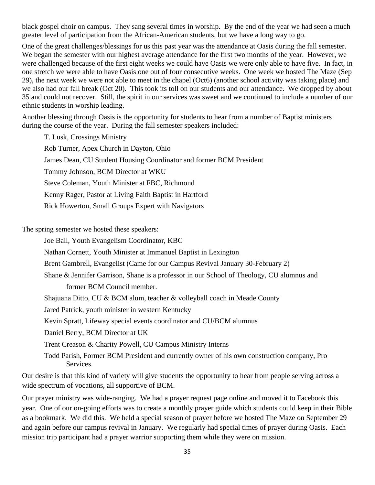black gospel choir on campus. They sang several times in worship. By the end of the year we had seen a much greater level of participation from the African-American students, but we have a long way to go.

One of the great challenges/blessings for us this past year was the attendance at Oasis during the fall semester. We began the semester with our highest average attendance for the first two months of the year. However, we were challenged because of the first eight weeks we could have Oasis we were only able to have five. In fact, in one stretch we were able to have Oasis one out of four consecutive weeks. One week we hosted The Maze (Sep 29), the next week we were not able to meet in the chapel (Oct6) (another school activity was taking place) and we also had our fall break (Oct 20). This took its toll on our students and our attendance. We dropped by about 35 and could not recover. Still, the spirit in our services was sweet and we continued to include a number of our ethnic students in worship leading.

Another blessing through Oasis is the opportunity for students to hear from a number of Baptist ministers during the course of the year. During the fall semester speakers included:

T. Lusk, Crossings Ministry Rob Turner, Apex Church in Dayton, Ohio James Dean, CU Student Housing Coordinator and former BCM President Tommy Johnson, BCM Director at WKU Steve Coleman, Youth Minister at FBC, Richmond Kenny Rager, Pastor at Living Faith Baptist in Hartford Rick Howerton, Small Groups Expert with Navigators

The spring semester we hosted these speakers:

Joe Ball, Youth Evangelism Coordinator, KBC

Nathan Cornett, Youth Minister at Immanuel Baptist in Lexington

Brent Gambrell, Evangelist (Came for our Campus Revival January 30-February 2)

Shane & Jennifer Garrison, Shane is a professor in our School of Theology, CU alumnus and

former BCM Council member.

Shajuana Ditto, CU & BCM alum, teacher & volleyball coach in Meade County

Jared Patrick, youth minister in western Kentucky

Kevin Spratt, Lifeway special events coordinator and CU/BCM alumnus

Daniel Berry, BCM Director at UK

Trent Creason & Charity Powell, CU Campus Ministry Interns

Todd Parish, Former BCM President and currently owner of his own construction company, Pro Services.

Our desire is that this kind of variety will give students the opportunity to hear from people serving across a wide spectrum of vocations, all supportive of BCM.

Our prayer ministry was wide-ranging. We had a prayer request page online and moved it to Facebook this year. One of our on-going efforts was to create a monthly prayer guide which students could keep in their Bible as a bookmark. We did this. We held a special season of prayer before we hosted The Maze on September 29 and again before our campus revival in January. We regularly had special times of prayer during Oasis. Each mission trip participant had a prayer warrior supporting them while they were on mission.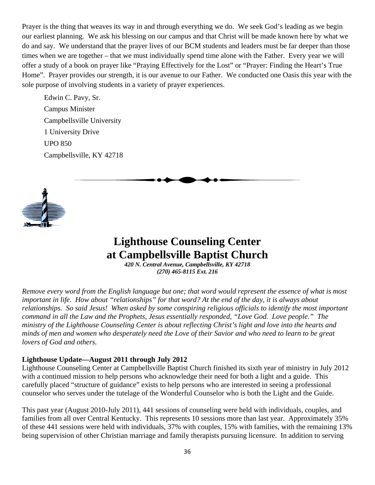<span id="page-35-0"></span>Prayer is the thing that weaves its way in and through everything we do. We seek God's leading as we begin our earliest planning. We ask his blessing on our campus and that Christ will be made known here by what we do and say. We understand that the prayer lives of our BCM students and leaders must be far deeper than those times when we are together – that we must individually spend time alone with the Father. Every year we will offer a study of a book on prayer like "Praying Effectively for the Lost" or "Prayer: Finding the Heart's True Home". Prayer provides our strength, it is our avenue to our Father. We conducted one Oasis this year with the sole purpose of involving students in a variety of prayer experiences.

Edwin C. Pavy, Sr. Campus Minister Campbellsville University 1 University Drive UPO 850 Campbellsville, KY 42718



## **Lighthouse Counseling Center at Campbellsville Baptist Church**

*420 N. Central Avenue, Campbellsville, KY 42718 (270) 465-8115 Ext. 216* 

*Remove every word from the English language but one; that word would represent the essence of what is most important in life. How about "relationships" for that word? At the end of the day, it is always about relationships. So said Jesus! When asked by some conspiring religious officials to identify the most important command in all the Law and the Prophets, Jesus essentially responded, "Love God. Love people." The ministry of the Lighthouse Counseling Center is about reflecting Christ's light and love into the hearts and minds of men and women who desperately need the Love of their Savior and who need to learn to be great lovers of God and others.* 

### **Lighthouse Update—August 2011 through July 2012**

Lighthouse Counseling Center at Campbellsville Baptist Church finished its sixth year of ministry in July 2012 with a continued mission to help persons who acknowledge their need for both a light and a guide. This carefully placed "structure of guidance" exists to help persons who are interested in seeing a professional counselor who serves under the tutelage of the Wonderful Counselor who is both the Light and the Guide.

This past year (August 2010-July 2011), 441 sessions of counseling were held with individuals, couples, and families from all over Central Kentucky. This represents 10 sessions more than last year. Approximately 35% of these 441 sessions were held with individuals, 37% with couples, 15% with families, with the remaining 13% being supervision of other Christian marriage and family therapists pursuing licensure. In addition to serving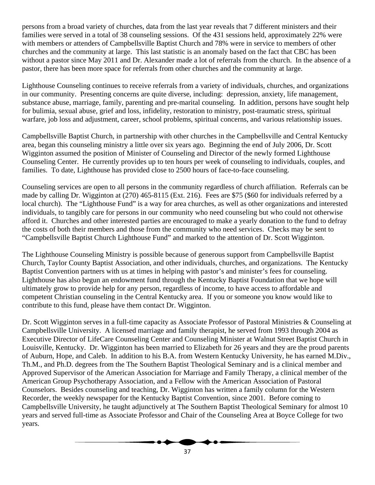persons from a broad variety of churches, data from the last year reveals that 7 different ministers and their families were served in a total of 38 counseling sessions. Of the 431 sessions held, approximately 22% were with members or attenders of Campbellsville Baptist Church and 78% were in service to members of other churches and the community at large. This last statistic is an anomaly based on the fact that CBC has been without a pastor since May 2011 and Dr. Alexander made a lot of referrals from the church. In the absence of a pastor, there has been more space for referrals from other churches and the community at large.

Lighthouse Counseling continues to receive referrals from a variety of individuals, churches, and organizations in our community. Presenting concerns are quite diverse, including: depression, anxiety, life management, substance abuse, marriage, family, parenting and pre-marital counseling. In addition, persons have sought help for bulimia, sexual abuse, grief and loss, infidelity, restoration to ministry, post-traumatic stress, spiritual warfare, job loss and adjustment, career, school problems, spiritual concerns, and various relationship issues.

Campbellsville Baptist Church, in partnership with other churches in the Campbellsville and Central Kentucky area, began this counseling ministry a little over six years ago. Beginning the end of July 2006, Dr. Scott Wigginton assumed the position of Minister of Counseling and Director of the newly formed Lighthouse Counseling Center. He currently provides up to ten hours per week of counseling to individuals, couples, and families. To date, Lighthouse has provided close to 2500 hours of face-to-face counseling.

Counseling services are open to all persons in the community regardless of church affiliation. Referrals can be made by calling Dr. Wigginton at (270) 465-8115 (Ext. 216). Fees are \$75 (\$60 for individuals referred by a local church). The "Lighthouse Fund" is a way for area churches, as well as other organizations and interested individuals, to tangibly care for persons in our community who need counseling but who could not otherwise afford it. Churches and other interested parties are encouraged to make a yearly donation to the fund to defray the costs of both their members and those from the community who need services. Checks may be sent to "Campbellsville Baptist Church Lighthouse Fund" and marked to the attention of Dr. Scott Wigginton.

The Lighthouse Counseling Ministry is possible because of generous support from Campbellsville Baptist Church, Taylor County Baptist Association, and other individuals, churches, and organizations. The Kentucky Baptist Convention partners with us at times in helping with pastor's and minister's fees for counseling. Lighthouse has also begun an endowment fund through the Kentucky Baptist Foundation that we hope will ultimately grow to provide help for any person, regardless of income, to have access to affordable and competent Christian counseling in the Central Kentucky area. If you or someone you know would like to contribute to this fund, please have them contact Dr. Wigginton.

Dr. Scott Wigginton serves in a full-time capacity as Associate Professor of Pastoral Ministries & Counseling at Campbellsville University. A licensed marriage and family therapist, he served from 1993 through 2004 as Executive Director of LifeCare Counseling Center and Counseling Minister at Walnut Street Baptist Church in Louisville, Kentucky. Dr. Wigginton has been married to Elizabeth for 26 years and they are the proud parents of Auburn, Hope, and Caleb. In addition to his B.A. from Western Kentucky University, he has earned M.Div., Th.M., and Ph.D. degrees from the The Southern Baptist Theological Seminary and is a clinical member and Approved Supervisor of the American Association for Marriage and Family Therapy, a clinical member of the American Group Psychotherapy Association, and a Fellow with the American Association of Pastoral Counselors. Besides counseling and teaching, Dr. Wigginton has written a family column for the Western Recorder, the weekly newspaper for the Kentucky Baptist Convention, since 2001. Before coming to Campbellsville University, he taught adjunctively at The Southern Baptist Theological Seminary for almost 10 years and served full-time as Associate Professor and Chair of the Counseling Area at Boyce College for two years.

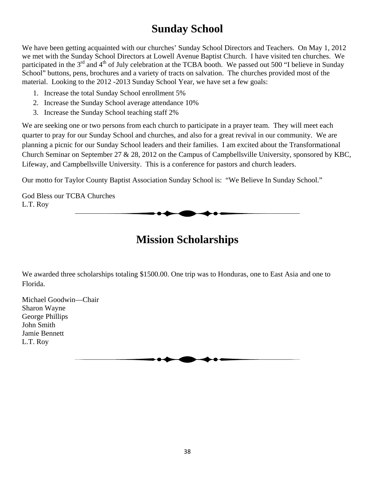## **Sunday School**

<span id="page-37-0"></span>We have been getting acquainted with our churches' Sunday School Directors and Teachers. On May 1, 2012 we met with the Sunday School Directors at Lowell Avenue Baptist Church. I have visited ten churches. We participated in the 3<sup>rd</sup> and 4<sup>th</sup> of July celebration at the TCBA booth. We passed out 500 "I believe in Sunday School" buttons, pens, brochures and a variety of tracts on salvation. The churches provided most of the material. Looking to the 2012 -2013 Sunday School Year, we have set a few goals:

- 1. Increase the total Sunday School enrollment 5%
- 2. Increase the Sunday School average attendance 10%
- 3. Increase the Sunday School teaching staff 2%

We are seeking one or two persons from each church to participate in a prayer team. They will meet each quarter to pray for our Sunday School and churches, and also for a great revival in our community. We are planning a picnic for our Sunday School leaders and their families. I am excited about the Transformational Church Seminar on September 27 & 28, 2012 on the Campus of Campbellsville University, sponsored by KBC, Lifeway, and Campbellsville University. This is a conference for pastors and church leaders.

Our motto for Taylor County Baptist Association Sunday School is: "We Believe In Sunday School."

God Bless our TCBA Churches L.T. Roy

## **Mission Scholarships**

We awarded three scholarships totaling \$1500.00. One trip was to Honduras, one to East Asia and one to Florida.

Michael Goodwin—Chair Sharon Wayne George Phillips John Smith Jamie Bennett L.T. Roy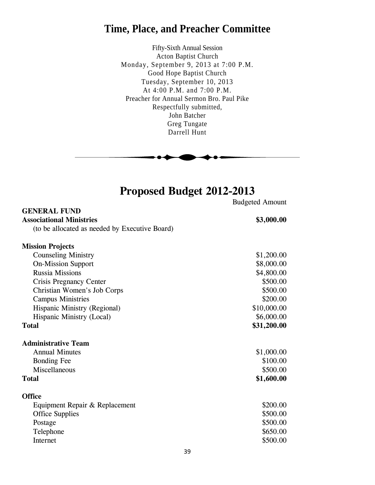## <span id="page-38-0"></span>**Time, Place, and Preacher Committee**

Fifty-Sixth Annual Session Acton Baptist Church Monday, September 9, 2013 at 7:00 P.M. Good Hope Baptist Church Tuesday, September 10, 2013 At 4:00 P.M. and 7:00 P.M. Preacher for Annual Sermon Bro. Paul Pike Respectfully submitted, John Batcher Greg Tungate Darrell Hunt



# **Proposed Budget 2012-2013**

|                                                | <b>Budgeted Amount</b> |
|------------------------------------------------|------------------------|
| <b>GENERAL FUND</b>                            |                        |
| <b>Associational Ministries</b>                | \$3,000.00             |
| (to be allocated as needed by Executive Board) |                        |
| <b>Mission Projects</b>                        |                        |
| <b>Counseling Ministry</b>                     | \$1,200.00             |
| <b>On-Mission Support</b>                      | \$8,000.00             |
| <b>Russia Missions</b>                         | \$4,800.00             |
| <b>Crisis Pregnancy Center</b>                 | \$500.00               |
| Christian Women's Job Corps                    | \$500.00               |
| <b>Campus Ministries</b>                       | \$200.00               |
| Hispanic Ministry (Regional)                   | \$10,000.00            |
| Hispanic Ministry (Local)                      | \$6,000.00             |
| <b>Total</b>                                   | \$31,200.00            |
| <b>Administrative Team</b>                     |                        |
| <b>Annual Minutes</b>                          | \$1,000.00             |
| <b>Bonding Fee</b>                             | \$100.00               |
| Miscellaneous                                  | \$500.00               |
| <b>Total</b>                                   | \$1,600.00             |
| <b>Office</b>                                  |                        |
| Equipment Repair & Replacement                 | \$200.00               |
| <b>Office Supplies</b>                         | \$500.00               |
| Postage                                        | \$500.00               |
| Telephone                                      | \$650.00               |
| Internet                                       | \$500.00               |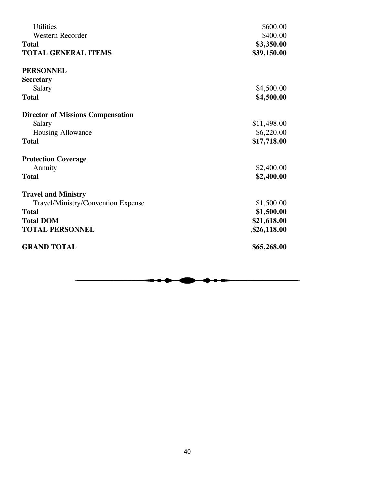| <b>Utilities</b>                         | \$600.00    |
|------------------------------------------|-------------|
| <b>Western Recorder</b>                  | \$400.00    |
| <b>Total</b>                             | \$3,350.00  |
| <b>TOTAL GENERAL ITEMS</b>               | \$39,150.00 |
| <b>PERSONNEL</b>                         |             |
| <b>Secretary</b>                         |             |
| Salary                                   | \$4,500.00  |
| <b>Total</b>                             | \$4,500.00  |
| <b>Director of Missions Compensation</b> |             |
| Salary                                   | \$11,498.00 |
| <b>Housing Allowance</b>                 | \$6,220.00  |
| <b>Total</b>                             | \$17,718.00 |
| <b>Protection Coverage</b>               |             |
| Annuity                                  | \$2,400.00  |
| <b>Total</b>                             | \$2,400.00  |
| <b>Travel and Ministry</b>               |             |
| Travel/Ministry/Convention Expense       | \$1,500.00  |
| <b>Total</b>                             | \$1,500.00  |
| <b>Total DOM</b>                         | \$21,618.00 |
| <b>TOTAL PERSONNEL</b>                   | \$26,118.00 |
| <b>GRAND TOTAL</b>                       | \$65,268.00 |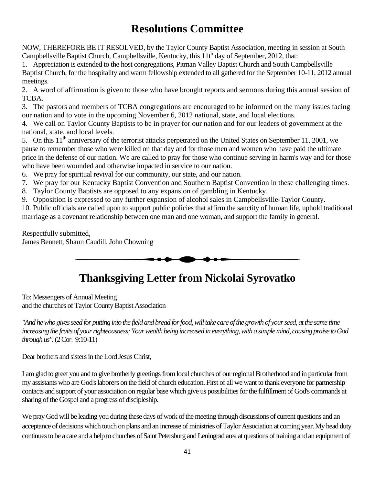# **Resolutions Committee**

<span id="page-40-0"></span>NOW, THEREFORE BE IT RESOLVED, by the Taylor County Baptist Association, meeting in session at South Campbellsville Baptist Church, Campbellsville, Kentucky, this  $11t^h$  day of September, 2012, that:

1. Appreciation is extended to the host congregations, Pitman Valley Baptist Church and South Campbellsville Baptist Church, for the hospitality and warm fellowship extended to all gathered for the September 10-11, 2012 annual meetings.

2. A word of affirmation is given to those who have brought reports and sermons during this annual session of TCBA.

3. The pastors and members of TCBA congregations are encouraged to be informed on the many issues facing our nation and to vote in the upcoming November 6, 2012 national, state, and local elections.

4. We call on Taylor County Baptists to be in prayer for our nation and for our leaders of government at the national, state, and local levels.

5. On this  $11<sup>th</sup>$  anniversary of the terrorist attacks perpetrated on the United States on September 11, 2001, we pause to remember those who were killed on that day and for those men and women who have paid the ultimate price in the defense of our nation. We are called to pray for those who continue serving in harm's way and for those who have been wounded and otherwise impacted in service to our nation.

6. We pray for spiritual revival for our community, our state, and our nation.

- 7. We pray for our Kentucky Baptist Convention and Southern Baptist Convention in these challenging times.
- 8. Taylor County Baptists are opposed to any expansion of gambling in Kentucky.
- 9. Opposition is expressed to any further expansion of alcohol sales in Campbellsville-Taylor County.

10. Public officials are called upon to support public policies that affirm the sanctity of human life, uphold traditional marriage as a covenant relationship between one man and one woman, and support the family in general.

Respectfully submitted, James Bennett, Shaun Caudill, John Chowning



# **Thanksgiving Letter from Nickolai Syrovatko**

To: Messengers of Annual Meeting and the churches of Taylor County Baptist Association

"And he who gives seed for putting into the field and bread for food, will take care of the growth of your seed, at the same time *increasing the fruits of your righteousness; Your wealth being increased in everything, with a simple mind, causing praise to God through us".* (2Cor. 9:10-11)

Dear brothers and sisters in the Lord Jesus Christ,

I am glad to greet you and to give brotherly greetings from local churches of our regional Brotherhood and in particular from my assistants who are God's laborers on the field of church education. First of all we want to thank everyone for partnership contacts and support of your association on regular base which give us possibilities for the fulfillment of God's commands at sharing of the Gospel and a progress of discipleship.

We pray God will be leading you during these days of work of the meeting through discussions of current questions and an acceptance of decisions which touch on plans and an increase of ministries of Taylor Association at coming year.My head duty continues to be a care and a help to churches of Saint Petersburg and Leningrad area at questions of training and an equipment of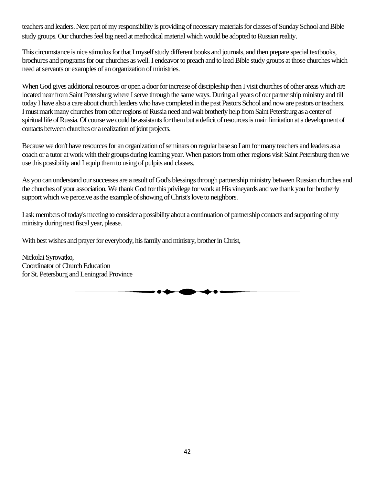teachers and leaders. Next part of my responsibility is providing of necessary materials for classes of Sunday School and Bible study groups. Our churches feel big need at methodical material which would be adopted to Russian reality.

This circumstance is nice stimulus for that I myself study different books and journals, and then prepare special textbooks, brochures and programs for our churches as well. I endeavor to preach and to lead Bible study groups at those churches which need at servants or examples of an organization of ministries.

When God gives additional resources or open a door for increase of discipleship then I visit churches of other areas which are located near from Saint Petersburg where I serve through the same ways. During all years of our partnership ministry and till today I have also a care about church leaders who have completed in the past Pastors School and now are pastors or teachers. I must mark many churches from other regions of Russia need and wait brotherly help from Saint Petersburg as a center of spiritual life of Russia. Of course we could be assistants for them but a deficit of resources is main limitation at a development of contacts between churches or a realization of joint projects.

Because we don't have resources for an organization of seminars on regular base so I am for many teachers and leaders as a coach or a tutor at work with their groups during learning year. When pastors from other regions visit Saint Petersburg then we use this possibility and I equip them to using of pulpits and classes.

As you can understand our successes are a result of God's blessings through partnership ministry between Russian churches and the churches of your association. We thank God for this privilege for work at His vineyards and we thank you for brotherly support which we perceive as the example of showing of Christ's love to neighbors.

I ask members of today's meeting to consider a possibility about a continuation of partnership contacts and supporting of my ministry during next fiscal year, please.

With best wishes and prayer for everybody, his family and ministry, brother in Christ,

Nickolai Syrovatko, Coordinator of Church Education for St. Petersburg and Leningrad Province

. . .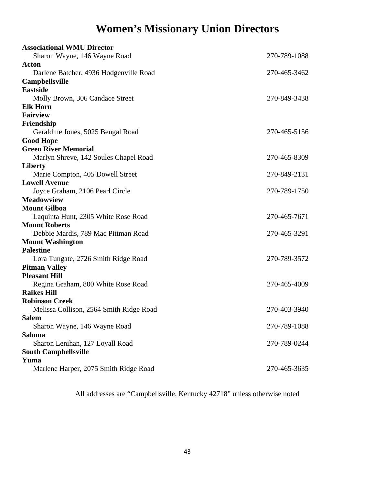# **Women's Missionary Union Directors**

<span id="page-42-0"></span>

| <b>Associational WMU Director</b>                              |              |
|----------------------------------------------------------------|--------------|
| Sharon Wayne, 146 Wayne Road                                   | 270-789-1088 |
| <b>Acton</b>                                                   |              |
| Darlene Batcher, 4936 Hodgenville Road                         | 270-465-3462 |
| <b>Campbellsville</b>                                          |              |
| <b>Eastside</b>                                                |              |
| Molly Brown, 306 Candace Street                                | 270-849-3438 |
| <b>Elk Horn</b>                                                |              |
| <b>Fairview</b>                                                |              |
| Friendship                                                     |              |
| Geraldine Jones, 5025 Bengal Road                              | 270-465-5156 |
| <b>Good Hope</b>                                               |              |
| <b>Green River Memorial</b>                                    |              |
| Marlyn Shreve, 142 Soules Chapel Road                          | 270-465-8309 |
| <b>Liberty</b>                                                 |              |
| Marie Compton, 405 Dowell Street                               | 270-849-2131 |
| <b>Lowell Avenue</b>                                           |              |
| Joyce Graham, 2106 Pearl Circle                                | 270-789-1750 |
| <b>Meadowview</b>                                              |              |
| <b>Mount Gilboa</b>                                            |              |
| Laquinta Hunt, 2305 White Rose Road                            | 270-465-7671 |
| <b>Mount Roberts</b>                                           |              |
| Debbie Mardis, 789 Mac Pittman Road                            | 270-465-3291 |
| <b>Mount Washington</b>                                        |              |
| <b>Palestine</b>                                               |              |
| Lora Tungate, 2726 Smith Ridge Road                            | 270-789-3572 |
| <b>Pitman Valley</b>                                           |              |
| <b>Pleasant Hill</b>                                           |              |
| Regina Graham, 800 White Rose Road                             | 270-465-4009 |
| <b>Raikes Hill</b>                                             |              |
| <b>Robinson Creek</b>                                          |              |
| Melissa Collison, 2564 Smith Ridge Road                        | 270-403-3940 |
| <b>Salem</b>                                                   |              |
| Sharon Wayne, 146 Wayne Road                                   | 270-789-1088 |
| <b>Saloma</b>                                                  |              |
| Sharon Lenihan, 127 Loyall Road<br><b>South Campbellsville</b> | 270-789-0244 |
| Yuma                                                           |              |
| Marlene Harper, 2075 Smith Ridge Road                          | 270-465-3635 |
|                                                                |              |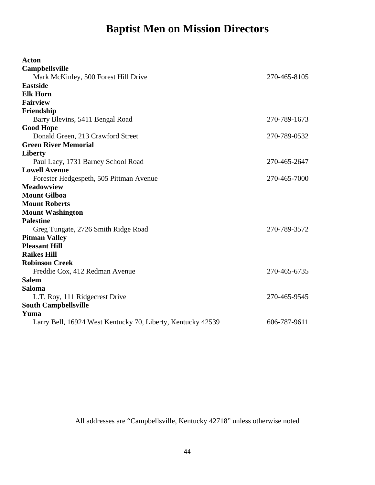# **Baptist Men on Mission Directors**

<span id="page-43-0"></span>

| <b>Acton</b>                                                |              |
|-------------------------------------------------------------|--------------|
| <b>Campbellsville</b>                                       |              |
| Mark McKinley, 500 Forest Hill Drive                        | 270-465-8105 |
| <b>Eastside</b>                                             |              |
| <b>Elk Horn</b>                                             |              |
| <b>Fairview</b>                                             |              |
| Friendship                                                  |              |
| Barry Blevins, 5411 Bengal Road                             | 270-789-1673 |
| <b>Good Hope</b>                                            |              |
| Donald Green, 213 Crawford Street                           | 270-789-0532 |
| <b>Green River Memorial</b>                                 |              |
| Liberty                                                     |              |
| Paul Lacy, 1731 Barney School Road                          | 270-465-2647 |
| <b>Lowell Avenue</b>                                        |              |
| Forester Hedgespeth, 505 Pittman Avenue                     | 270-465-7000 |
| <b>Meadowview</b>                                           |              |
| <b>Mount Gilboa</b>                                         |              |
| <b>Mount Roberts</b>                                        |              |
| <b>Mount Washington</b>                                     |              |
| <b>Palestine</b>                                            |              |
| Greg Tungate, 2726 Smith Ridge Road                         | 270-789-3572 |
| <b>Pitman Valley</b>                                        |              |
| <b>Pleasant Hill</b>                                        |              |
| <b>Raikes Hill</b>                                          |              |
| <b>Robinson Creek</b>                                       |              |
| Freddie Cox, 412 Redman Avenue                              | 270-465-6735 |
| <b>Salem</b>                                                |              |
| Saloma                                                      |              |
| L.T. Roy, 111 Ridgecrest Drive                              | 270-465-9545 |
| <b>South Campbellsville</b>                                 |              |
| Yuma                                                        |              |
| Larry Bell, 16924 West Kentucky 70, Liberty, Kentucky 42539 | 606-787-9611 |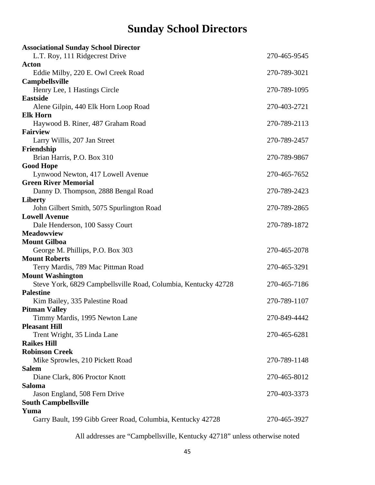# **Sunday School Directors**

<span id="page-44-0"></span>

| <b>Associational Sunday School Director</b>                    |              |
|----------------------------------------------------------------|--------------|
| L.T. Roy, 111 Ridgecrest Drive                                 | 270-465-9545 |
| <b>Acton</b>                                                   |              |
| Eddie Milby, 220 E. Owl Creek Road                             | 270-789-3021 |
| <b>Campbellsville</b>                                          |              |
| Henry Lee, 1 Hastings Circle                                   | 270-789-1095 |
| <b>Eastside</b>                                                |              |
| Alene Gilpin, 440 Elk Horn Loop Road                           | 270-403-2721 |
| <b>Elk Horn</b>                                                |              |
| Haywood B. Riner, 487 Graham Road                              | 270-789-2113 |
| <b>Fairview</b>                                                |              |
| Larry Willis, 207 Jan Street                                   | 270-789-2457 |
| Friendship                                                     |              |
| Brian Harris, P.O. Box 310                                     | 270-789-9867 |
| <b>Good Hope</b>                                               |              |
| Lynwood Newton, 417 Lowell Avenue                              | 270-465-7652 |
| <b>Green River Memorial</b>                                    |              |
| Danny D. Thompson, 2888 Bengal Road                            | 270-789-2423 |
| <b>Liberty</b>                                                 |              |
| John Gilbert Smith, 5075 Spurlington Road                      | 270-789-2865 |
| <b>Lowell Avenue</b>                                           |              |
| Dale Henderson, 100 Sassy Court                                | 270-789-1872 |
| <b>Meadowview</b>                                              |              |
| <b>Mount Gilboa</b>                                            |              |
| George M. Phillips, P.O. Box 303                               | 270-465-2078 |
| <b>Mount Roberts</b>                                           |              |
| Terry Mardis, 789 Mac Pittman Road                             | 270-465-3291 |
| <b>Mount Washington</b>                                        |              |
| Steve York, 6829 Campbellsville Road, Columbia, Kentucky 42728 | 270-465-7186 |
| <b>Palestine</b>                                               |              |
| Kim Bailey, 335 Palestine Road                                 | 270-789-1107 |
| <b>Pitman Valley</b>                                           |              |
| Timmy Mardis, 1995 Newton Lane                                 | 270-849-4442 |
| <b>Pleasant Hill</b>                                           |              |
| Trent Wright, 35 Linda Lane                                    | 270-465-6281 |
| <b>Raikes Hill</b>                                             |              |
| <b>Robinson Creek</b>                                          |              |
| Mike Sprowles, 210 Pickett Road                                | 270-789-1148 |
| Salem                                                          |              |
| Diane Clark, 806 Proctor Knott                                 | 270-465-8012 |
| Saloma                                                         |              |
| Jason England, 508 Fern Drive                                  | 270-403-3373 |
| <b>South Campbellsville</b>                                    |              |
| Yuma                                                           |              |
| Garry Bault, 199 Gibb Greer Road, Columbia, Kentucky 42728     | 270-465-3927 |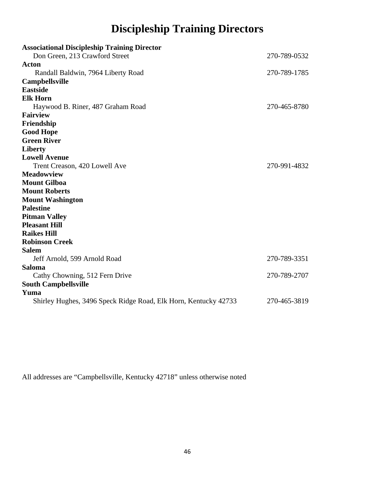# **Discipleship Training Directors**

<span id="page-45-0"></span>

| <b>Associational Discipleship Training Director</b>                     |              |
|-------------------------------------------------------------------------|--------------|
| Don Green, 213 Crawford Street                                          | 270-789-0532 |
| <b>Acton</b>                                                            |              |
| Randall Baldwin, 7964 Liberty Road                                      | 270-789-1785 |
| <b>Campbellsville</b>                                                   |              |
| <b>Eastside</b>                                                         |              |
| <b>Elk Horn</b>                                                         |              |
| Haywood B. Riner, 487 Graham Road                                       | 270-465-8780 |
| <b>Fairview</b>                                                         |              |
| Friendship                                                              |              |
| <b>Good Hope</b>                                                        |              |
| <b>Green River</b>                                                      |              |
| <b>Liberty</b>                                                          |              |
| <b>Lowell Avenue</b>                                                    |              |
| Trent Creason, 420 Lowell Ave                                           | 270-991-4832 |
| <b>Meadowview</b>                                                       |              |
| <b>Mount Gilboa</b>                                                     |              |
| <b>Mount Roberts</b>                                                    |              |
| <b>Mount Washington</b>                                                 |              |
| <b>Palestine</b>                                                        |              |
| <b>Pitman Valley</b>                                                    |              |
| <b>Pleasant Hill</b>                                                    |              |
| <b>Raikes Hill</b>                                                      |              |
| <b>Robinson Creek</b>                                                   |              |
| <b>Salem</b>                                                            |              |
| Jeff Arnold, 599 Arnold Road                                            | 270-789-3351 |
| Saloma                                                                  |              |
| Cathy Chowning, 512 Fern Drive                                          | 270-789-2707 |
| <b>South Campbellsville</b>                                             |              |
| Yuma<br>Shirley Hughes, 3496 Speck Ridge Road, Elk Horn, Kentucky 42733 | 270-465-3819 |
|                                                                         |              |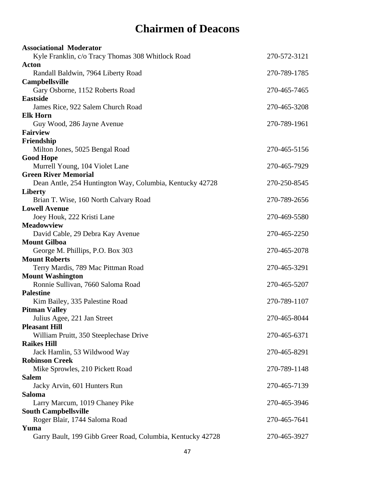# **Chairmen of Deacons**

<span id="page-46-0"></span>

| <b>Associational Moderator</b>                             |              |
|------------------------------------------------------------|--------------|
| Kyle Franklin, c/o Tracy Thomas 308 Whitlock Road          | 270-572-3121 |
| Acton                                                      |              |
| Randall Baldwin, 7964 Liberty Road                         | 270-789-1785 |
| <b>Campbellsville</b>                                      |              |
| Gary Osborne, 1152 Roberts Road                            | 270-465-7465 |
| <b>Eastside</b>                                            |              |
| James Rice, 922 Salem Church Road                          | 270-465-3208 |
| <b>Elk Horn</b>                                            |              |
| Guy Wood, 286 Jayne Avenue                                 | 270-789-1961 |
| <b>Fairview</b><br>Friendship                              |              |
| Milton Jones, 5025 Bengal Road                             | 270-465-5156 |
| <b>Good Hope</b>                                           |              |
| Murrell Young, 104 Violet Lane                             | 270-465-7929 |
| <b>Green River Memorial</b>                                |              |
| Dean Antle, 254 Huntington Way, Columbia, Kentucky 42728   | 270-250-8545 |
| <b>Liberty</b>                                             |              |
| Brian T. Wise, 160 North Calvary Road                      | 270-789-2656 |
| <b>Lowell Avenue</b>                                       |              |
| Joey Houk, 222 Kristi Lane                                 | 270-469-5580 |
| <b>Meadowview</b>                                          |              |
| David Cable, 29 Debra Kay Avenue                           | 270-465-2250 |
| <b>Mount Gilboa</b>                                        |              |
| George M. Phillips, P.O. Box 303                           | 270-465-2078 |
| <b>Mount Roberts</b>                                       |              |
| Terry Mardis, 789 Mac Pittman Road                         | 270-465-3291 |
| <b>Mount Washington</b>                                    |              |
| Ronnie Sullivan, 7660 Saloma Road                          | 270-465-5207 |
| <b>Palestine</b>                                           |              |
| Kim Bailey, 335 Palestine Road                             | 270-789-1107 |
| <b>Pitman Valley</b>                                       | 270-465-8044 |
| Julius Agee, 221 Jan Street<br><b>Pleasant Hill</b>        |              |
| William Pruitt, 350 Steeplechase Drive                     | 270-465-6371 |
| <b>Raikes Hill</b>                                         |              |
| Jack Hamlin, 53 Wildwood Way                               | 270-465-8291 |
| <b>Robinson Creek</b>                                      |              |
| Mike Sprowles, 210 Pickett Road                            | 270-789-1148 |
| <b>Salem</b>                                               |              |
| Jacky Arvin, 601 Hunters Run                               | 270-465-7139 |
| Saloma                                                     |              |
| Larry Marcum, 1019 Chaney Pike                             | 270-465-3946 |
| <b>South Campbellsville</b>                                |              |
| Roger Blair, 1744 Saloma Road                              | 270-465-7641 |
| Yuma                                                       |              |
| Garry Bault, 199 Gibb Greer Road, Columbia, Kentucky 42728 | 270-465-3927 |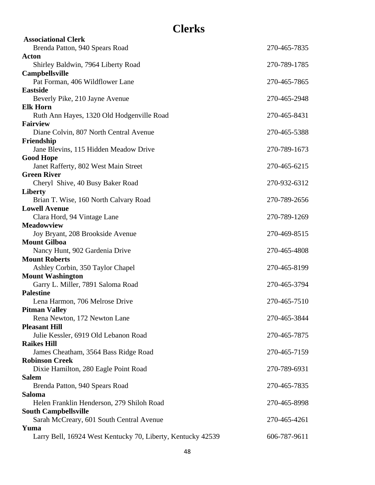## **Clerks**

<span id="page-47-0"></span>

| <b>Associational Clerk</b>                                   |              |
|--------------------------------------------------------------|--------------|
| Brenda Patton, 940 Spears Road                               | 270-465-7835 |
| Acton                                                        |              |
| Shirley Baldwin, 7964 Liberty Road                           | 270-789-1785 |
| Campbellsville                                               |              |
| Pat Forman, 406 Wildflower Lane                              | 270-465-7865 |
| <b>Eastside</b>                                              |              |
| Beverly Pike, 210 Jayne Avenue                               | 270-465-2948 |
| <b>Elk Horn</b>                                              |              |
| Ruth Ann Hayes, 1320 Old Hodgenville Road                    | 270-465-8431 |
| <b>Fairview</b>                                              |              |
| Diane Colvin, 807 North Central Avenue<br>Friendship         | 270-465-5388 |
| Jane Blevins, 115 Hidden Meadow Drive                        | 270-789-1673 |
| <b>Good Hope</b>                                             |              |
| Janet Rafferty, 802 West Main Street                         | 270-465-6215 |
| <b>Green River</b>                                           |              |
| Cheryl Shive, 40 Busy Baker Road                             | 270-932-6312 |
| <b>Liberty</b>                                               |              |
| Brian T. Wise, 160 North Calvary Road                        | 270-789-2656 |
| <b>Lowell Avenue</b>                                         |              |
| Clara Hord, 94 Vintage Lane                                  | 270-789-1269 |
| <b>Meadowview</b>                                            |              |
| Joy Bryant, 208 Brookside Avenue                             | 270-469-8515 |
| <b>Mount Gilboa</b>                                          |              |
| Nancy Hunt, 902 Gardenia Drive                               | 270-465-4808 |
| <b>Mount Roberts</b>                                         |              |
| Ashley Corbin, 350 Taylor Chapel                             | 270-465-8199 |
| <b>Mount Washington</b><br>Garry L. Miller, 7891 Saloma Road | 270-465-3794 |
| <b>Palestine</b>                                             |              |
| Lena Harmon, 706 Melrose Drive                               | 270-465-7510 |
| <b>Pitman Valley</b>                                         |              |
| Rena Newton, 172 Newton Lane                                 | 270-465-3844 |
| <b>Pleasant Hill</b>                                         |              |
| Julie Kessler, 6919 Old Lebanon Road                         | 270-465-7875 |
| <b>Raikes Hill</b>                                           |              |
| James Cheatham, 3564 Bass Ridge Road                         | 270-465-7159 |
| <b>Robinson Creek</b>                                        |              |
| Dixie Hamilton, 280 Eagle Point Road                         | 270-789-6931 |
| <b>Salem</b>                                                 |              |
| Brenda Patton, 940 Spears Road                               | 270-465-7835 |
| Saloma                                                       |              |
| Helen Franklin Henderson, 279 Shiloh Road                    | 270-465-8998 |
| <b>South Campbellsville</b>                                  |              |
| Sarah McCreary, 601 South Central Avenue<br>Yuma             | 270-465-4261 |
| Larry Bell, 16924 West Kentucky 70, Liberty, Kentucky 42539  | 606-787-9611 |
|                                                              |              |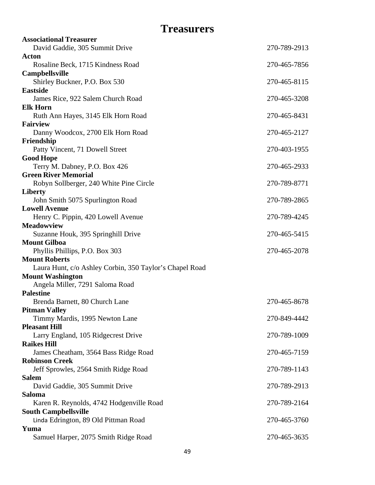## **Treasurers**

<span id="page-48-0"></span>

| <b>Associational Treasurer</b>                                          |              |
|-------------------------------------------------------------------------|--------------|
| David Gaddie, 305 Summit Drive                                          | 270-789-2913 |
| Acton                                                                   |              |
| Rosaline Beck, 1715 Kindness Road                                       | 270-465-7856 |
| <b>Campbellsville</b>                                                   |              |
| Shirley Buckner, P.O. Box 530<br><b>Eastside</b>                        | 270-465-8115 |
| James Rice, 922 Salem Church Road                                       | 270-465-3208 |
| <b>Elk Horn</b>                                                         |              |
| Ruth Ann Hayes, 3145 Elk Horn Road                                      | 270-465-8431 |
| <b>Fairview</b>                                                         |              |
| Danny Woodcox, 2700 Elk Horn Road                                       | 270-465-2127 |
| Friendship                                                              |              |
| Patty Vincent, 71 Dowell Street                                         | 270-403-1955 |
| <b>Good Hope</b>                                                        |              |
| Terry M. Dabney, P.O. Box 426                                           | 270-465-2933 |
| <b>Green River Memorial</b>                                             |              |
| Robyn Sollberger, 240 White Pine Circle                                 | 270-789-8771 |
| <b>Liberty</b>                                                          | 270-789-2865 |
| John Smith 5075 Spurlington Road<br><b>Lowell Avenue</b>                |              |
| Henry C. Pippin, 420 Lowell Avenue                                      | 270-789-4245 |
| <b>Meadowview</b>                                                       |              |
| Suzanne Houk, 395 Springhill Drive                                      | 270-465-5415 |
| <b>Mount Gilboa</b>                                                     |              |
| Phyllis Phillips, P.O. Box 303                                          | 270-465-2078 |
| <b>Mount Roberts</b>                                                    |              |
| Laura Hunt, c/o Ashley Corbin, 350 Taylor's Chapel Road                 |              |
| <b>Mount Washington</b>                                                 |              |
| Angela Miller, 7291 Saloma Road                                         |              |
| <b>Palestine</b><br>Brenda Barnett, 80 Church Lane                      | 270-465-8678 |
| <b>Pitman Valley</b>                                                    |              |
| Timmy Mardis, 1995 Newton Lane                                          | 270-849-4442 |
| <b>Pleasant Hill</b>                                                    |              |
| Larry England, 105 Ridgecrest Drive                                     | 270-789-1009 |
| <b>Raikes Hill</b>                                                      |              |
| James Cheatham, 3564 Bass Ridge Road                                    | 270-465-7159 |
| <b>Robinson Creek</b>                                                   |              |
| Jeff Sprowles, 2564 Smith Ridge Road                                    | 270-789-1143 |
| <b>Salem</b>                                                            |              |
| David Gaddie, 305 Summit Drive                                          | 270-789-2913 |
| <b>Saloma</b>                                                           |              |
| Karen R. Reynolds, 4742 Hodgenville Road<br><b>South Campbellsville</b> | 270-789-2164 |
| Linda Edrington, 89 Old Pittman Road                                    | 270-465-3760 |
| Yuma                                                                    |              |
| Samuel Harper, 2075 Smith Ridge Road                                    | 270-465-3635 |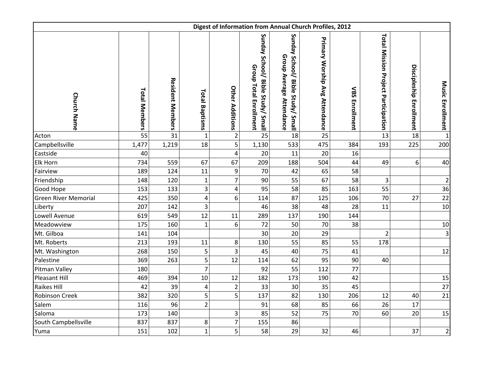<span id="page-49-0"></span>

| Digest of Information from Annual Church Profiles, 2012 |                      |                         |                         |                        |                                                                    |                                                               |                                |                       |                                            |                         |                         |
|---------------------------------------------------------|----------------------|-------------------------|-------------------------|------------------------|--------------------------------------------------------------------|---------------------------------------------------------------|--------------------------------|-----------------------|--------------------------------------------|-------------------------|-------------------------|
| <b>Church Name</b>                                      | <b>Total Members</b> | <b>Resident Members</b> | <b>Total Baptisms</b>   | <b>Other Additions</b> | Sunday School/ Bible Study/ Small<br><b>Group Total Enrollment</b> | Sunday School/ Bible Study/ Small<br>Group Average Attendance | Primary Worship Avg Attendance | <b>VBS Enrollment</b> | <b>Total Mission Project Participation</b> | Discipleship Enrollment | Music Enrollment L      |
| Acton                                                   | 55                   | 31                      | $\mathbf 1$             | $\mathbf 2$            | 25                                                                 | 18                                                            | 25                             |                       | 13                                         | 18                      |                         |
| Campbellsville                                          | 1,477                | 1,219                   | 18                      | $\overline{5}$         | 1,130                                                              | 533                                                           | 475                            | 384                   | 193                                        | 225                     | 200                     |
| Eastside                                                | 40                   |                         |                         | $\pmb{4}$              | 20                                                                 | 11                                                            | 20                             | 16                    |                                            |                         |                         |
| <b>Elk Horn</b>                                         | 734                  | 559                     | 67                      | 67                     | 209                                                                | 188                                                           | 504                            | 44                    | 49                                         | 6                       | 40                      |
| Fairview                                                | 189                  | 124                     | 11                      | 9                      | 70                                                                 | 42                                                            | 65                             | 58                    |                                            |                         |                         |
| Friendship                                              | 148                  | 120                     | $\mathbf{1}$            | $\overline{7}$         | 90                                                                 | 55                                                            | 67                             | 58                    | 3                                          |                         | $\overline{2}$          |
| Good Hope                                               | 153                  | 133                     | 3                       | 4                      | 95                                                                 | 58                                                            | 85                             | 163                   | 55                                         |                         | 36                      |
| <b>Green River Memorial</b>                             | 425                  | 350                     | $\overline{\mathbf{4}}$ | 6                      | 114                                                                | 87                                                            | 125                            | 106                   | 70                                         | 27                      | 22                      |
| Liberty                                                 | 207                  | 142                     | 3                       |                        | 46                                                                 | 38                                                            | 48                             | 28                    | 11                                         |                         | 10                      |
| Lowell Avenue                                           | 619                  | 549                     | 12                      | $11\,$                 | 289                                                                | 137                                                           | 190                            | 144                   |                                            |                         |                         |
| Meadowview                                              | 175                  | 160                     | $\mathbf 1$             | 6                      | 72                                                                 | 50                                                            | 70                             | 38                    |                                            |                         | $10\,$                  |
| Mt. Gilboa                                              | 141                  | 104                     |                         |                        | 30                                                                 | 20                                                            | 29                             |                       | $\overline{2}$                             |                         | $\overline{\mathbf{3}}$ |
| Mt. Roberts                                             | 213                  | 193                     | 11                      | 8                      | 130                                                                | 55                                                            | 85                             | 55                    | 178                                        |                         |                         |
| Mt. Washington                                          | 268                  | 150                     | 5                       | 3                      | 45                                                                 | 40                                                            | 75                             | 41                    |                                            |                         | 12                      |
| Palestine                                               | 369                  | 263                     | 5                       | 12                     | 114                                                                | 62                                                            | 95                             | 90                    | 40                                         |                         |                         |
| Pitman Valley                                           | 180                  |                         | $\overline{7}$          |                        | 92                                                                 | 55                                                            | 112                            | 77                    |                                            |                         |                         |
| Pleasant Hill                                           | 469                  | 394                     | 10                      | 12                     | 182                                                                | 173                                                           | 190                            | 42                    |                                            |                         | 15                      |
| <b>Raikes Hill</b>                                      | 42                   | 39                      | $\overline{\mathbf{4}}$ | $\overline{c}$         | 33                                                                 | 30                                                            | 35                             | 45                    |                                            |                         | 27                      |
| <b>Robinson Creek</b>                                   | 382                  | 320                     | 5                       | 5                      | 137                                                                | 82                                                            | 130                            | 206                   | 12                                         | 40                      | 21                      |
| Salem                                                   | 116                  | 96                      | $\overline{2}$          |                        | 91                                                                 | 68                                                            | 85                             | 66                    | 26                                         | 17                      |                         |
| Saloma                                                  | 173                  | 140                     |                         | $\mathsf 3$            | 85                                                                 | 52                                                            | 75                             | 70                    | 60                                         | 20                      | 15                      |
| South Campbellsville                                    | 837                  | 837                     | 8                       | $\overline{7}$         | 155                                                                | 86                                                            |                                |                       |                                            |                         |                         |
| Yuma                                                    | 151                  | 102                     | $\mathbf{1}$            | 5                      | 58                                                                 | 29                                                            | 32                             | 46                    |                                            | 37                      | $\overline{2}$          |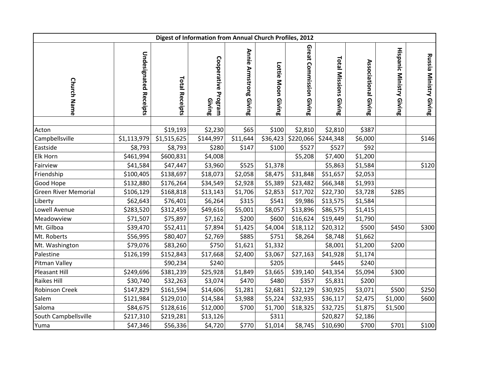| Digest of Information from Annual Church Profiles, 2012 |                              |                       |                               |                        |                    |                            |                              |                      |                                 |                               |
|---------------------------------------------------------|------------------------------|-----------------------|-------------------------------|------------------------|--------------------|----------------------------|------------------------------|----------------------|---------------------------------|-------------------------------|
| <b>Church Name</b>                                      | <b>Undesignated Receipts</b> | <b>Total Receipts</b> | Cooperative Program<br>Giving | Annie Armstrong Giving | Lottie Moon Giving | Great Commission<br>Giving | <b>Total Missions Giving</b> | Associational Giving | <b>Hispanic Ministry Giving</b> | <b>Russia Ministry Giving</b> |
| Acton                                                   |                              | \$19,193              | \$2,230                       | \$65                   | \$100              | \$2,810                    | \$2,810                      | \$387                |                                 |                               |
| Campbellsville                                          | \$1,113,979                  | \$1,515,625           | \$144,997                     | \$11,644               | \$36,423           | \$220,066                  | \$244,348                    | \$6,000              |                                 | \$146                         |
| Eastside                                                | \$8,793                      | \$8,793               | \$280                         | \$147                  | \$100              | \$527                      | \$527                        | \$92                 |                                 |                               |
| Elk Horn                                                | \$461,994                    | \$600,831             | \$4,008                       |                        |                    | \$5,208                    | \$7,400                      | \$1,200              |                                 |                               |
| Fairview                                                | \$41,584                     | \$47,447              | \$3,960                       | \$525                  | \$1,378            |                            | \$5,863                      | \$1,584              |                                 | \$120                         |
| Friendship                                              | \$100,405                    | \$138,697             | \$18,073                      | \$2,058                | \$8,475            | \$31,848                   | \$51,657                     | \$2,053              |                                 |                               |
| Good Hope                                               | \$132,880                    | \$176,264             | \$34,549                      | \$2,928                | \$5,389            | \$23,482                   | \$66,348                     | \$1,993              |                                 |                               |
| <b>Green River Memorial</b>                             | \$106,129                    | \$168,818             | \$13,143                      | \$1,706                | \$2,853            | \$17,702                   | \$22,730                     | \$3,728              | \$285                           |                               |
| Liberty                                                 | \$62,643                     | \$76,401              | \$6,264                       | \$315                  | \$541              | \$9,986                    | \$13,575                     | \$1,584              |                                 |                               |
| Lowell Avenue                                           | \$283,520                    | \$312,459             | \$49,616                      | \$5,001                | \$8,057            | \$13,896                   | \$86,575                     | \$1,415              |                                 |                               |
| Meadowview                                              | \$71,507                     | \$75,897              | \$7,162                       | \$200                  | \$600              | \$16,624                   | \$19,449                     | \$1,790              |                                 |                               |
| Mt. Gilboa                                              | \$39,470                     | \$52,411              | \$7,894                       | \$1,425                | \$4,004            | \$18,112                   | \$20,312                     | \$500                | \$450                           | \$300                         |
| Mt. Roberts                                             | \$56,995                     | \$80,407              | \$2,769                       | \$885                  | \$751              | \$8,264                    | \$8,748                      | \$1,662              |                                 |                               |
| Mt. Washington                                          | \$79,076                     | \$83,260              | \$750                         | \$1,621                | \$1,332            |                            | \$8,001                      | \$1,200              | \$200                           |                               |
| Palestine                                               | \$126,199                    | \$152,843             | \$17,668                      | \$2,400                | \$3,067            | \$27,163                   | \$41,928                     | \$1,174              |                                 |                               |
| Pitman Valley                                           |                              | \$90,234              | \$240                         |                        | \$205              |                            | \$445                        | \$240                |                                 |                               |
| Pleasant Hill                                           | \$249,696                    | \$381,239             | \$25,928                      | \$1,849                | \$3,665            | \$39,140                   | \$43,354                     | \$5,094              | \$300                           |                               |
| <b>Raikes Hill</b>                                      | \$30,740                     | \$32,263              | \$3,074                       | \$470                  | \$480              | \$357                      | \$5,831                      | \$200                |                                 |                               |
| <b>Robinson Creek</b>                                   | \$147,829                    | \$161,594             | \$14,606                      | \$1,281                | \$2,681            | \$22,129                   | \$30,925                     | \$3,071              | \$500                           | \$250                         |
| Salem                                                   | \$121,984                    | \$129,010             | \$14,584                      | \$3,988                | \$5,224            | \$32,935                   | \$36,117                     | \$2,475              | \$1,000                         | \$600                         |
| Saloma                                                  | \$84,675                     | \$128,616             | \$12,000                      | \$700                  | \$1,700            | \$18,325                   | \$32,725                     | \$1,875              | \$1,500                         |                               |
| South Campbellsville                                    | \$217,310                    | \$219,281             | \$13,126                      |                        | \$311              |                            | \$20,827                     | \$2,186              |                                 |                               |
| Yuma                                                    | \$47,346                     | \$56,336              | \$4,720                       | \$770                  | \$1,014            | \$8,745                    | \$10,690                     | \$700                | \$701                           | \$100                         |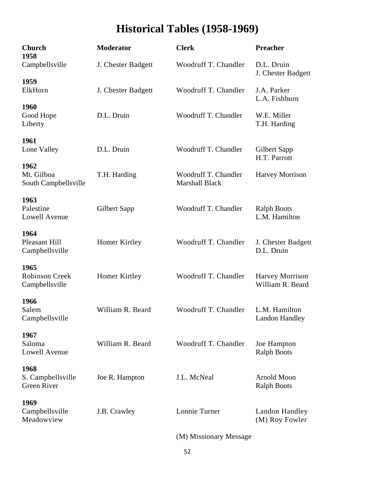# **Historical Tables (1958-1969)**

<span id="page-51-0"></span>

| <b>Church</b><br>1958                           | <b>Moderator</b>   | <b>Clerk</b>                                  | <b>Preacher</b>                            |  |
|-------------------------------------------------|--------------------|-----------------------------------------------|--------------------------------------------|--|
| Campbellsville                                  | J. Chester Badgett | Woodruff T. Chandler                          | D.L. Druin<br>J. Chester Badgett           |  |
| 1959<br>ElkHorn                                 | J. Chester Badgett | Woodruff T. Chandler                          | J.A. Parker<br>L.A. Fishburn               |  |
| 1960<br>Good Hope<br>Liberty                    | D.L. Druin         | Woodruff T. Chandler                          | W.E. Miller<br>T.H. Harding                |  |
| 1961<br>Lone Valley                             | D.L. Druin         | Woodruff T. Chandler                          | Gilbert Sapp<br>H.T. Parrott               |  |
| 1962<br>Mt. Gilboa<br>South Campbellsville      | T.H. Harding       | Woodruff T. Chandler<br><b>Marshall Black</b> | Harvey Morrison                            |  |
| 1963<br>Palestine<br>Lowell Avenue              | Gilbert Sapp       | Woodruff T. Chandler                          | <b>Ralph Boots</b><br>L.M. Hamilton        |  |
| 1964<br>Pleasant Hill<br>Campbellsville         | Homer Kirtley      | Woodruff T. Chandler                          | J. Chester Badgett<br>D.L. Druin           |  |
| 1965<br><b>Robinson Creek</b><br>Campbellsville | Homer Kirtley      | Woodruff T. Chandler                          | <b>Harvey Morrison</b><br>William R. Beard |  |
| 1966<br>Salem<br>Campbellsville                 | William R. Beard   | Woodruff T. Chandler                          | L.M. Hamilton<br><b>Landon Handley</b>     |  |
| 1967<br>Saloma<br>Lowell Avenue                 | William R. Beard   | Woodruff T. Chandler                          | Joe Hampton<br><b>Ralph Boots</b>          |  |
| 1968<br>S. Campbellsville<br>Green River        | Joe R. Hampton     | J.L. McNeal                                   | <b>Arnold Moon</b><br><b>Ralph Boots</b>   |  |
| 1969<br>Campbellsville<br>Meadowview            | J.B. Crawley       | Lonnie Turner                                 | Landon Handley<br>(M) Roy Fowler           |  |
|                                                 |                    |                                               |                                            |  |

(M) Missionary Message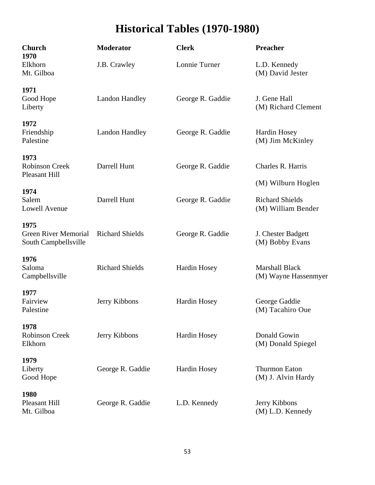# **Historical Tables (1970-1980)**

| <b>Church</b><br>1970                                       | <b>Moderator</b>       | <b>Clerk</b>        | Preacher                                                           |  |
|-------------------------------------------------------------|------------------------|---------------------|--------------------------------------------------------------------|--|
| Elkhorn<br>Mt. Gilboa                                       | J.B. Crawley           | Lonnie Turner       | L.D. Kennedy<br>(M) David Jester                                   |  |
| 1971<br>Good Hope<br>Liberty                                | <b>Landon Handley</b>  | George R. Gaddie    | J. Gene Hall<br>(M) Richard Clement                                |  |
| 1972<br>Friendship<br>Palestine                             | <b>Landon Handley</b>  | George R. Gaddie    | Hardin Hosey<br>(M) Jim McKinley                                   |  |
| 1973<br><b>Robinson Creek</b><br><b>Pleasant Hill</b>       | Darrell Hunt           | George R. Gaddie    | Charles R. Harris                                                  |  |
| 1974<br>Salem<br><b>Lowell Avenue</b>                       | Darrell Hunt           | George R. Gaddie    | (M) Wilburn Hoglen<br><b>Richard Shields</b><br>(M) William Bender |  |
| 1975<br><b>Green River Memorial</b><br>South Campbellsville | <b>Richard Shields</b> | George R. Gaddie    | J. Chester Badgett<br>(M) Bobby Evans                              |  |
| 1976<br>Saloma<br>Campbellsville                            | <b>Richard Shields</b> | <b>Hardin Hosey</b> | <b>Marshall Black</b><br>(M) Wayne Hassenmyer                      |  |
| 1977<br>Fairview<br>Palestine                               | Jerry Kibbons          | <b>Hardin Hosey</b> | George Gaddie<br>(M) Tacahiro Oue                                  |  |
| 1978<br><b>Robinson Creek</b><br>Elkhorn                    | Jerry Kibbons          | Hardin Hosey        | Donald Gowin<br>(M) Donald Spiegel                                 |  |
| 1979<br>Liberty<br>Good Hope                                | George R. Gaddie       | Hardin Hosey        | <b>Thurmon Eaton</b><br>(M) J. Alvin Hardy                         |  |
| 1980<br>Pleasant Hill<br>Mt. Gilboa                         | George R. Gaddie       | L.D. Kennedy        | Jerry Kibbons<br>(M) L.D. Kennedy                                  |  |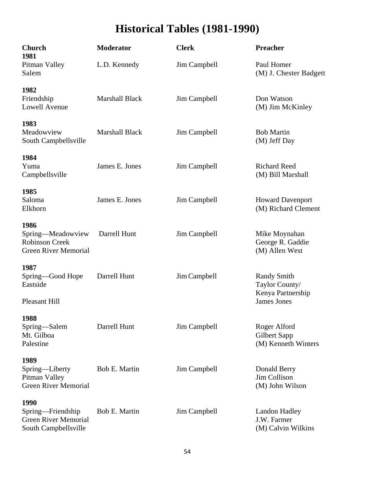# **Historical Tables (1981-1990)**

| <b>Church</b><br>1981                                                             | <b>Moderator</b>      | <b>Clerk</b> | Preacher                                                  |
|-----------------------------------------------------------------------------------|-----------------------|--------------|-----------------------------------------------------------|
| Pitman Valley<br>Salem                                                            | L.D. Kennedy          | Jim Campbell | Paul Homer<br>(M) J. Chester Badgett                      |
| 1982<br>Friendship<br>Lowell Avenue                                               | <b>Marshall Black</b> | Jim Campbell | Don Watson<br>(M) Jim McKinley                            |
| 1983<br>Meadowview<br>South Campbellsville                                        | <b>Marshall Black</b> | Jim Campbell | <b>Bob Martin</b><br>(M) Jeff Day                         |
| 1984<br>Yuma<br>Campbellsville                                                    | James E. Jones        | Jim Campbell | <b>Richard Reed</b><br>(M) Bill Marshall                  |
| 1985<br>Saloma<br>Elkhorn                                                         | James E. Jones        | Jim Campbell | <b>Howard Davenport</b><br>(M) Richard Clement            |
| 1986<br>Spring-Meadowview<br><b>Robinson Creek</b><br><b>Green River Memorial</b> | Darrell Hunt          | Jim Campbell | Mike Moynahan<br>George R. Gaddie<br>(M) Allen West       |
| 1987<br>Spring-Good Hope<br>Eastside                                              | Darrell Hunt          | Jim Campbell | <b>Randy Smith</b><br>Taylor County/<br>Kenya Partnership |
| Pleasant Hill                                                                     |                       |              | <b>James Jones</b>                                        |
| 1988<br>Spring—Salem<br>Mt. Gilboa<br>Palestine                                   | Darrell Hunt          | Jim Campbell | Roger Alford<br>Gilbert Sapp<br>(M) Kenneth Winters       |
| 1989<br>Spring—Liberty<br>Pitman Valley<br><b>Green River Memorial</b>            | <b>Bob E. Martin</b>  | Jim Campbell | Donald Berry<br><b>Jim Collison</b><br>(M) John Wilson    |
| 1990<br>Spring—Friendship<br><b>Green River Memorial</b><br>South Campbellsville  | Bob E. Martin         | Jim Campbell | <b>Landon Hadley</b><br>J.W. Farmer<br>(M) Calvin Wilkins |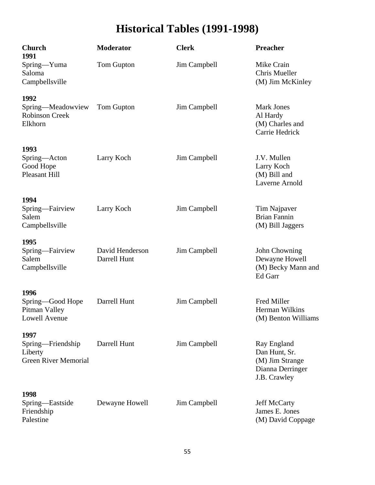# **Historical Tables (1991-1998)**

| <b>Church</b><br>1991                                               | <b>Moderator</b>                | <b>Clerk</b> | <b>Preacher</b>                                                                     |
|---------------------------------------------------------------------|---------------------------------|--------------|-------------------------------------------------------------------------------------|
| Spring-Yuma<br>Saloma<br>Campbellsville                             | Tom Gupton                      | Jim Campbell | Mike Crain<br>Chris Mueller<br>(M) Jim McKinley                                     |
| 1992<br>Spring-Meadowview<br>Robinson Creek<br>Elkhorn              | Tom Gupton                      | Jim Campbell | <b>Mark Jones</b><br>Al Hardy<br>(M) Charles and<br>Carrie Hedrick                  |
| 1993<br>Spring-Acton<br>Good Hope<br><b>Pleasant Hill</b>           | Larry Koch                      | Jim Campbell | J.V. Mullen<br>Larry Koch<br>(M) Bill and<br>Laverne Arnold                         |
| 1994<br>Spring-Fairview<br>Salem<br>Campbellsville                  | Larry Koch                      | Jim Campbell | Tim Najpaver<br><b>Brian Fannin</b><br>(M) Bill Jaggers                             |
| 1995<br>Spring-Fairview<br>Salem<br>Campbellsville                  | David Henderson<br>Darrell Hunt | Jim Campbell | John Chowning<br>Dewayne Howell<br>(M) Becky Mann and<br>Ed Garr                    |
| 1996<br>Spring-Good Hope<br>Pitman Valley<br>Lowell Avenue          | Darrell Hunt                    | Jim Campbell | Fred Miller<br>Herman Wilkins<br>(M) Benton Williams                                |
| 1997<br>Spring-Friendship<br>Liberty<br><b>Green River Memorial</b> | Darrell Hunt                    | Jim Campbell | Ray England<br>Dan Hunt, Sr.<br>(M) Jim Strange<br>Dianna Derringer<br>J.B. Crawley |
| 1998<br>Spring-Eastside<br>Friendship<br>Palestine                  | Dewayne Howell                  | Jim Campbell | <b>Jeff McCarty</b><br>James E. Jones<br>(M) David Coppage                          |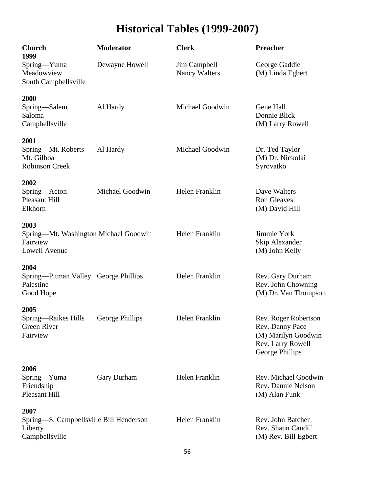# **Historical Tables (1999-2007)**

| <b>Church</b><br>1999                                                     | <b>Moderator</b> | <b>Clerk</b>                         | <b>Preacher</b>                                                                                        |
|---------------------------------------------------------------------------|------------------|--------------------------------------|--------------------------------------------------------------------------------------------------------|
| Spring-Yuma<br>Meadowview<br>South Campbellsville                         | Dewayne Howell   | Jim Campbell<br><b>Nancy Walters</b> | George Gaddie<br>(M) Linda Egbert                                                                      |
| 2000<br>Spring-Salem                                                      | Al Hardy         | Michael Goodwin                      | Gene Hall                                                                                              |
| Saloma<br>Campbellsville                                                  |                  |                                      | Donnie Blick<br>(M) Larry Rowell                                                                       |
| 2001                                                                      |                  |                                      |                                                                                                        |
| Spring—Mt. Roberts<br>Mt. Gilboa<br><b>Robinson Creek</b>                 | Al Hardy         | Michael Goodwin                      | Dr. Ted Taylor<br>(M) Dr. Nickolai<br>Syrovatko                                                        |
| 2002                                                                      |                  |                                      |                                                                                                        |
| Spring-Acton<br><b>Pleasant Hill</b><br>Elkhorn                           | Michael Goodwin  | Helen Franklin                       | Dave Walters<br><b>Ron Gleaves</b><br>(M) David Hill                                                   |
| 2003                                                                      |                  |                                      |                                                                                                        |
| Spring—Mt. Washington Michael Goodwin<br>Fairview<br><b>Lowell Avenue</b> |                  | Helen Franklin                       | Jimmie York<br>Skip Alexander<br>(M) John Kelly                                                        |
| 2004                                                                      |                  |                                      |                                                                                                        |
| Spring—Pitman Valley George Phillips<br>Palestine<br>Good Hope            |                  | Helen Franklin                       | Rev. Gary Durham<br>Rev. John Chowning<br>(M) Dr. Van Thompson                                         |
| 2005                                                                      |                  |                                      |                                                                                                        |
| Spring-Raikes Hills<br><b>Green River</b><br>Fairview                     | George Phillips  | Helen Franklin                       | Rev. Roger Robertson<br>Rev. Danny Pace<br>(M) Marilyn Goodwin<br>Rev. Larry Rowell<br>George Phillips |
| 2006                                                                      |                  |                                      |                                                                                                        |
| Spring-Yuma<br>Friendship<br><b>Pleasant Hill</b>                         | Gary Durham      | Helen Franklin                       | Rev. Michael Goodwin<br>Rev. Dannie Nelson<br>(M) Alan Funk                                            |
| 2007                                                                      |                  |                                      |                                                                                                        |
| Spring—S. Campbellsville Bill Henderson<br>Liberty<br>Campbellsville      |                  | Helen Franklin                       | Rev. John Batcher<br>Rev. Shaun Caudill<br>(M) Rev. Bill Egbert                                        |